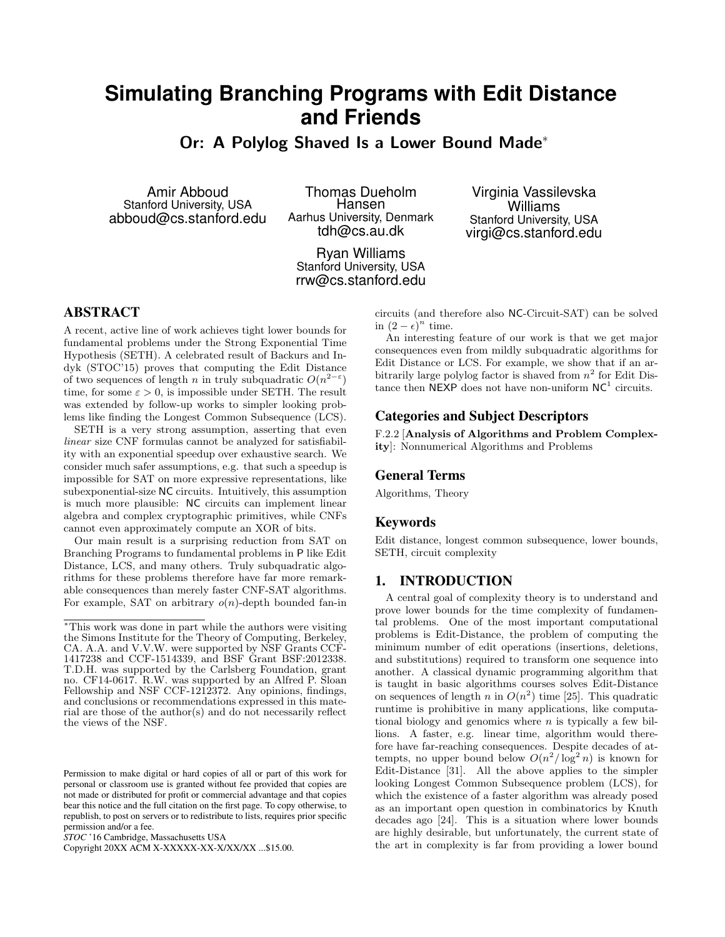# **Simulating Branching Programs with Edit Distance and Friends**

Or: A Polylog Shaved Is a Lower Bound Made<sup>∗</sup>

Amir Abboud Stanford University, USA abboud@cs.stanford.edu

Thomas Dueholm Hansen Aarhus University, Denmark tdh@cs.au.dk

Ryan Williams Stanford University, USA rrw@cs.stanford.edu

Virginia Vassilevska Williams Stanford University, USA virgi@cs.stanford.edu

# ABSTRACT

A recent, active line of work achieves tight lower bounds for fundamental problems under the Strong Exponential Time Hypothesis (SETH). A celebrated result of Backurs and Indyk (STOC'15) proves that computing the Edit Distance of two sequences of length n in truly subquadratic  $O(n^{2-\epsilon})$ time, for some  $\varepsilon > 0$ , is impossible under SETH. The result was extended by follow-up works to simpler looking problems like finding the Longest Common Subsequence (LCS).

SETH is a very strong assumption, asserting that even linear size CNF formulas cannot be analyzed for satisfiability with an exponential speedup over exhaustive search. We consider much safer assumptions, e.g. that such a speedup is impossible for SAT on more expressive representations, like subexponential-size NC circuits. Intuitively, this assumption is much more plausible: NC circuits can implement linear algebra and complex cryptographic primitives, while CNFs cannot even approximately compute an XOR of bits.

Our main result is a surprising reduction from SAT on Branching Programs to fundamental problems in P like Edit Distance, LCS, and many others. Truly subquadratic algorithms for these problems therefore have far more remarkable consequences than merely faster CNF-SAT algorithms. For example, SAT on arbitrary  $o(n)$ -depth bounded fan-in circuits (and therefore also NC-Circuit-SAT) can be solved in  $(2 - \epsilon)^n$  time.

An interesting feature of our work is that we get major consequences even from mildly subquadratic algorithms for Edit Distance or LCS. For example, we show that if an arbitrarily large polylog factor is shaved from  $n^2$  for Edit Distance then NEXP does not have non-uniform  $NC<sup>1</sup>$  circuits.

# Categories and Subject Descriptors

F.2.2 [Analysis of Algorithms and Problem Complexity]: Nonnumerical Algorithms and Problems

# General Terms

Algorithms, Theory

# Keywords

Edit distance, longest common subsequence, lower bounds, SETH, circuit complexity

### 1. INTRODUCTION

A central goal of complexity theory is to understand and prove lower bounds for the time complexity of fundamental problems. One of the most important computational problems is Edit-Distance, the problem of computing the minimum number of edit operations (insertions, deletions, and substitutions) required to transform one sequence into another. A classical dynamic programming algorithm that is taught in basic algorithms courses solves Edit-Distance on sequences of length n in  $O(n^2)$  time [25]. This quadratic runtime is prohibitive in many applications, like computational biology and genomics where  $n$  is typically a few billions. A faster, e.g. linear time, algorithm would therefore have far-reaching consequences. Despite decades of attempts, no upper bound below  $O(n^2/\log^2 n)$  is known for Edit-Distance [31]. All the above applies to the simpler looking Longest Common Subsequence problem (LCS), for which the existence of a faster algorithm was already posed as an important open question in combinatorics by Knuth decades ago [24]. This is a situation where lower bounds are highly desirable, but unfortunately, the current state of the art in complexity is far from providing a lower bound

<sup>∗</sup>This work was done in part while the authors were visiting the Simons Institute for the Theory of Computing, Berkeley, CA. A.A. and V.V.W. were supported by NSF Grants CCF-1417238 and CCF-1514339, and BSF Grant BSF:2012338. T.D.H. was supported by the Carlsberg Foundation, grant no. CF14-0617. R.W. was supported by an Alfred P. Sloan Fellowship and NSF CCF-1212372. Any opinions, findings, and conclusions or recommendations expressed in this material are those of the author(s) and do not necessarily reflect the views of the NSF.

Permission to make digital or hard copies of all or part of this work for personal or classroom use is granted without fee provided that copies are not made or distributed for profit or commercial advantage and that copies bear this notice and the full citation on the first page. To copy otherwise, to republish, to post on servers or to redistribute to lists, requires prior specific permission and/or a fee.

*STOC* '16 Cambridge, Massachusetts USA

Copyright 20XX ACM X-XXXXX-XX-X/XX/XX ...\$15.00.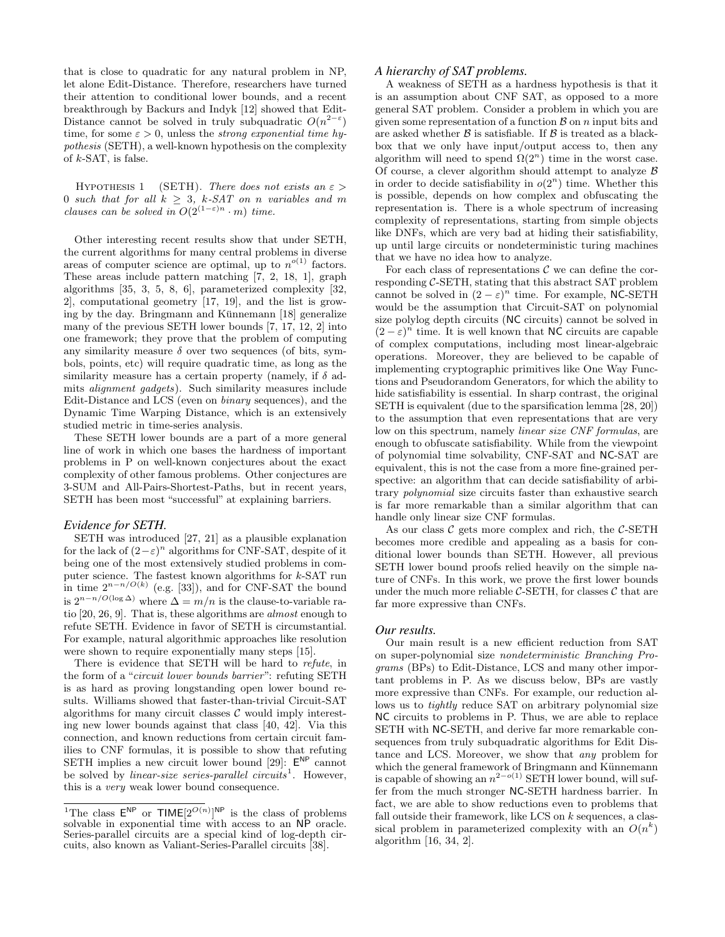that is close to quadratic for any natural problem in NP, let alone Edit-Distance. Therefore, researchers have turned their attention to conditional lower bounds, and a recent breakthrough by Backurs and Indyk [12] showed that Edit-Distance cannot be solved in truly subquadratic  $O(n^{2-\epsilon})$ time, for some  $\varepsilon > 0$ , unless the *strong exponential time hy*pothesis (SETH), a well-known hypothesis on the complexity of  $k$ -SAT, is false.

HYPOTHESIS 1 (SETH). There does not exists an  $\varepsilon$  > 0 such that for all  $k \geq 3$ , k-SAT on n variables and m clauses can be solved in  $O(2^{(1-\varepsilon)n} \cdot m)$  time.

Other interesting recent results show that under SETH, the current algorithms for many central problems in diverse areas of computer science are optimal, up to  $n^{o(1)}$  factors. These areas include pattern matching [7, 2, 18, 1], graph algorithms [35, 3, 5, 8, 6], parameterized complexity [32, 2], computational geometry [17, 19], and the list is growing by the day. Bringmann and Künnemann  $[18]$  generalize many of the previous SETH lower bounds [7, 17, 12, 2] into one framework; they prove that the problem of computing any similarity measure  $\delta$  over two sequences (of bits, symbols, points, etc) will require quadratic time, as long as the similarity measure has a certain property (namely, if  $\delta$  admits alignment gadgets). Such similarity measures include Edit-Distance and LCS (even on binary sequences), and the Dynamic Time Warping Distance, which is an extensively studied metric in time-series analysis.

These SETH lower bounds are a part of a more general line of work in which one bases the hardness of important problems in P on well-known conjectures about the exact complexity of other famous problems. Other conjectures are 3-SUM and All-Pairs-Shortest-Paths, but in recent years, SETH has been most "successful" at explaining barriers.

#### *Evidence for SETH.*

SETH was introduced [27, 21] as a plausible explanation for the lack of  $(2 - \varepsilon)^n$  algorithms for CNF-SAT, despite of it being one of the most extensively studied problems in computer science. The fastest known algorithms for  $k$ -SAT run in time  $2^{n-n/O(k)}$  (e.g. [33]), and for CNF-SAT the bound is  $2^{n-n/O(\log \Delta)}$  where  $\Delta = m/n$  is the clause-to-variable ratio [20, 26, 9]. That is, these algorithms are almost enough to refute SETH. Evidence in favor of SETH is circumstantial. For example, natural algorithmic approaches like resolution were shown to require exponentially many steps [15].

There is evidence that SETH will be hard to refute, in the form of a "circuit lower bounds barrier": refuting SETH is as hard as proving longstanding open lower bound results. Williams showed that faster-than-trivial Circuit-SAT algorithms for many circuit classes  $\mathcal C$  would imply interesting new lower bounds against that class [40, 42]. Via this connection, and known reductions from certain circuit families to CNF formulas, it is possible to show that refuting SETH implies a new circuit lower bound [29]:  $E^{NP}$  cannot be solved by *linear-size series-parallel circuits*<sup>1</sup>. However, this is a very weak lower bound consequence.

#### *A hierarchy of SAT problems.*

A weakness of SETH as a hardness hypothesis is that it is an assumption about CNF SAT, as opposed to a more general SAT problem. Consider a problem in which you are given some representation of a function  $\beta$  on n input bits and are asked whether  $\beta$  is satisfiable. If  $\beta$  is treated as a blackbox that we only have input/output access to, then any algorithm will need to spend  $\Omega(2^n)$  time in the worst case. Of course, a clever algorithm should attempt to analyze  $\beta$ in order to decide satisfiability in  $o(2<sup>n</sup>)$  time. Whether this is possible, depends on how complex and obfuscating the representation is. There is a whole spectrum of increasing complexity of representations, starting from simple objects like DNFs, which are very bad at hiding their satisfiability, up until large circuits or nondeterministic turing machines that we have no idea how to analyze.

For each class of representations  $\mathcal C$  we can define the corresponding C-SETH, stating that this abstract SAT problem cannot be solved in  $(2 - \varepsilon)^n$  time. For example, NC-SETH would be the assumption that Circuit-SAT on polynomial size polylog depth circuits (NC circuits) cannot be solved in  $(2 - \varepsilon)^n$  time. It is well known that NC circuits are capable of complex computations, including most linear-algebraic operations. Moreover, they are believed to be capable of implementing cryptographic primitives like One Way Functions and Pseudorandom Generators, for which the ability to hide satisfiability is essential. In sharp contrast, the original SETH is equivalent (due to the sparsification lemma [28, 20]) to the assumption that even representations that are very low on this spectrum, namely linear size CNF formulas, are enough to obfuscate satisfiability. While from the viewpoint of polynomial time solvability, CNF-SAT and NC-SAT are equivalent, this is not the case from a more fine-grained perspective: an algorithm that can decide satisfiability of arbitrary polynomial size circuits faster than exhaustive search is far more remarkable than a similar algorithm that can handle only linear size CNF formulas.

As our class  $\mathcal C$  gets more complex and rich, the  $\mathcal C$ -SETH becomes more credible and appealing as a basis for conditional lower bounds than SETH. However, all previous SETH lower bound proofs relied heavily on the simple nature of CNFs. In this work, we prove the first lower bounds under the much more reliable  $C$ -SETH, for classes  $C$  that are far more expressive than CNFs.

#### *Our results.*

Our main result is a new efficient reduction from SAT on super-polynomial size nondeterministic Branching Programs (BPs) to Edit-Distance, LCS and many other important problems in P. As we discuss below, BPs are vastly more expressive than CNFs. For example, our reduction allows us to *tightly* reduce SAT on arbitrary polynomial size NC circuits to problems in P. Thus, we are able to replace SETH with NC-SETH, and derive far more remarkable consequences from truly subquadratic algorithms for Edit Distance and LCS. Moreover, we show that any problem for which the general framework of Bringmann and Künnemann is capable of showing an  $n^{2-o(1)}$  SETH lower bound, will suffer from the much stronger NC-SETH hardness barrier. In fact, we are able to show reductions even to problems that fall outside their framework, like LCS on k sequences, a classical problem in parameterized complexity with an  $O(n^k)$ algorithm [16, 34, 2].

<sup>&</sup>lt;sup>1</sup>The class  $\mathsf{E}^{\mathsf{NP}}$  or  $\mathsf{TIME}[2^{O(n)}]^{\mathsf{NP}}$  is the class of problems solvable in exponential time with access to an NP oracle. Series-parallel circuits are a special kind of log-depth circuits, also known as Valiant-Series-Parallel circuits [38].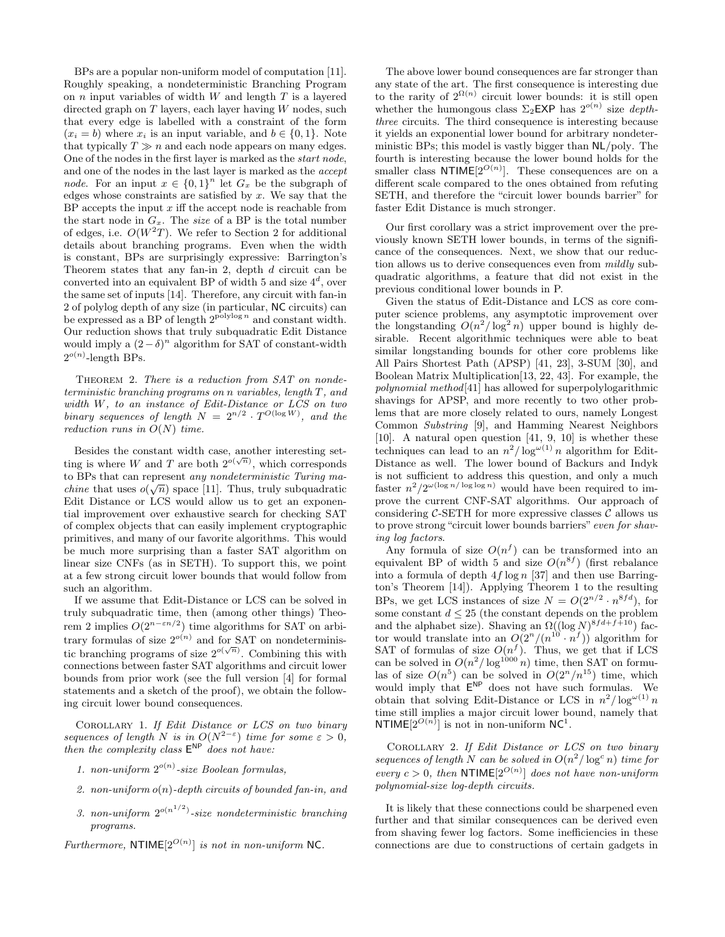BPs are a popular non-uniform model of computation [11]. Roughly speaking, a nondeterministic Branching Program on  $n$  input variables of width  $W$  and length  $T$  is a layered directed graph on  $T$  layers, each layer having  $W$  nodes, such that every edge is labelled with a constraint of the form  $(x_i = b)$  where  $x_i$  is an input variable, and  $b \in \{0, 1\}$ . Note that typically  $T \gg n$  and each node appears on many edges. One of the nodes in the first layer is marked as the start node, and one of the nodes in the last layer is marked as the accept *node*. For an input  $x \in \{0,1\}^n$  let  $G_x$  be the subgraph of edges whose constraints are satisfied by  $x$ . We say that the BP accepts the input  $x$  iff the accept node is reachable from the start node in  $G_x$ . The size of a BP is the total number of edges, i.e.  $O(W^2T)$ . We refer to Section 2 for additional details about branching programs. Even when the width is constant, BPs are surprisingly expressive: Barrington's Theorem states that any fan-in 2, depth  $d$  circuit can be converted into an equivalent BP of width 5 and size  $4^d$ , over the same set of inputs [14]. Therefore, any circuit with fan-in 2 of polylog depth of any size (in particular, NC circuits) can be expressed as a BP of length  $2^{polylog n}$  and constant width. Our reduction shows that truly subquadratic Edit Distance would imply a  $(2 - \delta)^n$  algorithm for SAT of constant-width  $2^{o(n)}$ -length BPs.

THEOREM 2. There is a reduction from SAT on nondeterministic branching programs on n variables, length T, and width W, to an instance of Edit-Distance or LCS on two binary sequences of length  $N = 2^{n/2} \cdot T^{O(\log W)}$ , and the reduction runs in  $O(N)$  time.

Besides the constant width case, another interesting setbesides the constant when ease, abouter interesting set<br>ting is where W and T are both  $2^{o(\sqrt{n})}$ , which corresponds to BPs that can represent *any nondeterministic Turing machine* that uses  $o(\sqrt{n})$  space [11]. Thus, truly subquadratic Edit Distance or LCS would allow us to get an exponential improvement over exhaustive search for checking SAT of complex objects that can easily implement cryptographic primitives, and many of our favorite algorithms. This would be much more surprising than a faster SAT algorithm on linear size CNFs (as in SETH). To support this, we point at a few strong circuit lower bounds that would follow from such an algorithm.

If we assume that Edit-Distance or LCS can be solved in truly subquadratic time, then (among other things) Theorem 2 implies  $O(2^{n-\varepsilon n/2})$  time algorithms for SAT on arbitrary formulas of size  $2^{o(n)}$  and for SAT on nondeterministic branching programs of size  $2^{o(\sqrt{n})}$ . Combining this with connections between faster SAT algorithms and circuit lower bounds from prior work (see the full version [4] for formal statements and a sketch of the proof), we obtain the following circuit lower bound consequences.

Corollary 1. If Edit Distance or LCS on two binary sequences of length N is in  $O(N^{2-\epsilon})$  time for some  $\epsilon > 0$ , then the complexity class  $E^{NP}$  does not have:

- 1. non-uniform  $2^{o(n)}$ -size Boolean formulas,
- 2. non-uniform  $o(n)$ -depth circuits of bounded fan-in, and
- 3. non-uniform  $2^{o(n^{1/2})}$ -size nondeterministic branching programs.

Furthermore, NTIME $[2^{O(n)}]$  is not in non-uniform NC.

The above lower bound consequences are far stronger than any state of the art. The first consequence is interesting due to the rarity of  $2^{\Omega(n)}$  circuit lower bounds: it is still open whether the humongous class  $\Sigma_2$ **EXP** has  $2^{o(n)}$  size *depth*three circuits. The third consequence is interesting because it yields an exponential lower bound for arbitrary nondeterministic BPs; this model is vastly bigger than NL/poly. The fourth is interesting because the lower bound holds for the smaller class  $NTIME[2^{O(n)}]$ . These consequences are on a different scale compared to the ones obtained from refuting SETH, and therefore the "circuit lower bounds barrier" for faster Edit Distance is much stronger.

Our first corollary was a strict improvement over the previously known SETH lower bounds, in terms of the significance of the consequences. Next, we show that our reduction allows us to derive consequences even from mildly subquadratic algorithms, a feature that did not exist in the previous conditional lower bounds in P.

Given the status of Edit-Distance and LCS as core computer science problems, any asymptotic improvement over the longstanding  $O(n^2/\log^2 n)$  upper bound is highly desirable. Recent algorithmic techniques were able to beat similar longstanding bounds for other core problems like All Pairs Shortest Path (APSP) [41, 23], 3-SUM [30], and Boolean Matrix Multiplication[13, 22, 43]. For example, the polynomial method[41] has allowed for superpolylogarithmic shavings for APSP, and more recently to two other problems that are more closely related to ours, namely Longest Common Substring [9], and Hamming Nearest Neighbors [10]. A natural open question [41, 9, 10] is whether these techniques can lead to an  $n^2/\log^{\omega(1)} n$  algorithm for Edit-Distance as well. The lower bound of Backurs and Indyk is not sufficient to address this question, and only a much faster  $n^2/2^{\omega(\log n/\log \log n)}$  would have been required to improve the current CNF-SAT algorithms. Our approach of considering  $C$ -SETH for more expressive classes  $C$  allows us to prove strong "circuit lower bounds barriers" even for shaving log factors.

Any formula of size  $O(n^f)$  can be transformed into an equivalent BP of width 5 and size  $O(n^{8f})$  (first rebalance into a formula of depth  $4f \log n$  [37] and then use Barrington's Theorem [14]). Applying Theorem 1 to the resulting BPs, we get LCS instances of size  $N = O(2^{n/2} \cdot n^{8fd})$ , for some constant  $d \leq 25$  (the constant depends on the problem and the alphabet size). Shaving an  $\Omega((\log N)^{8fd+f+10})$  factor would translate into an  $O(2^n/(n^{10} \cdot n^f))$  algorithm for SAT of formulas of size  $O(n^f)$ . Thus, we get that if LCS can be solved in  $O(n^2/\log^{1000} n)$  time, then SAT on formulas of size  $O(n^5)$  can be solved in  $O(2^n/n^{15})$  time, which would imply that  $E^{NP}$  does not have such formulas. We obtain that solving Edit-Distance or LCS in  $n^2/\log^{\omega(1)} n$ time still implies a major circuit lower bound, namely that NTIME $[2^{O(n)}]$  is not in non-uniform NC<sup>1</sup>.

Corollary 2. If Edit Distance or LCS on two binary sequences of length N can be solved in  $O(n^2/\log^c n)$  time for every  $c > 0$ , then NTIME $[2^{O(n)}]$  does not have non-uniform polynomial-size log-depth circuits.

It is likely that these connections could be sharpened even further and that similar consequences can be derived even from shaving fewer log factors. Some inefficiencies in these connections are due to constructions of certain gadgets in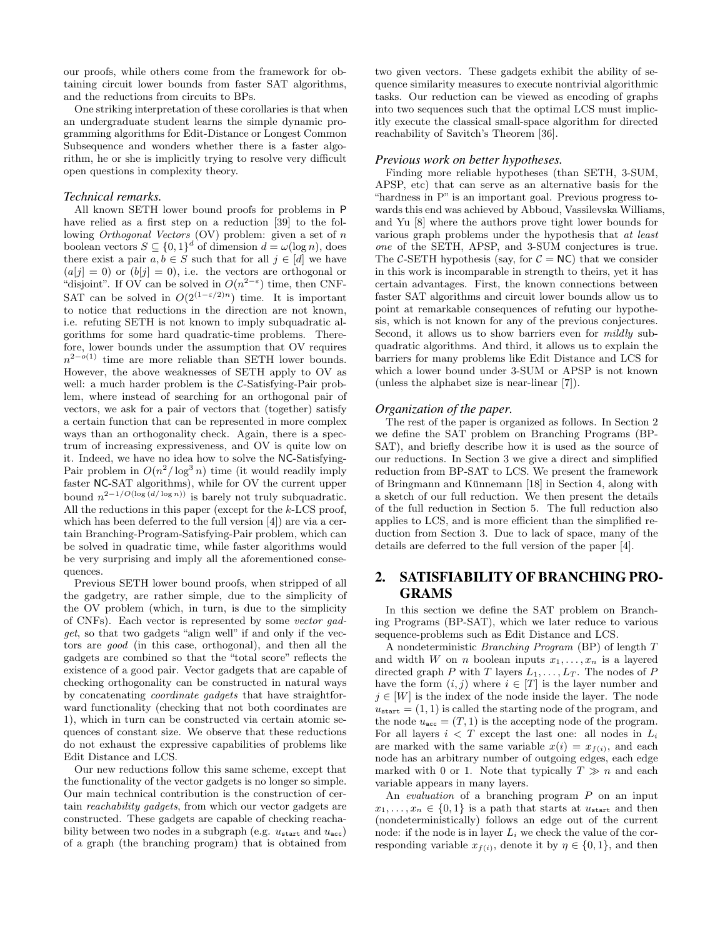our proofs, while others come from the framework for obtaining circuit lower bounds from faster SAT algorithms, and the reductions from circuits to BPs.

One striking interpretation of these corollaries is that when an undergraduate student learns the simple dynamic programming algorithms for Edit-Distance or Longest Common Subsequence and wonders whether there is a faster algorithm, he or she is implicitly trying to resolve very difficult open questions in complexity theory.

### *Technical remarks.*

All known SETH lower bound proofs for problems in P have relied as a first step on a reduction [39] to the following Orthogonal Vectors (OV) problem: given a set of n boolean vectors  $S \subseteq \{0,1\}^d$  of dimension  $d = \omega(\log n)$ , does there exist a pair  $a, b \in S$  such that for all  $j \in [d]$  we have  $(a[j] = 0)$  or  $(b[j] = 0)$ , i.e. the vectors are orthogonal or "disjoint". If OV can be solved in  $O(n^{2-\epsilon})$  time, then CNF-SAT can be solved in  $O(2^{(1-\varepsilon/2)n})$  time. It is important to notice that reductions in the direction are not known, i.e. refuting SETH is not known to imply subquadratic algorithms for some hard quadratic-time problems. Therefore, lower bounds under the assumption that OV requires  $n^{2-o(1)}$  time are more reliable than SETH lower bounds. However, the above weaknesses of SETH apply to OV as well: a much harder problem is the C-Satisfying-Pair problem, where instead of searching for an orthogonal pair of vectors, we ask for a pair of vectors that (together) satisfy a certain function that can be represented in more complex ways than an orthogonality check. Again, there is a spectrum of increasing expressiveness, and OV is quite low on it. Indeed, we have no idea how to solve the NC-Satisfying-Pair problem in  $O(n^2/\log^3 n)$  time (it would readily imply faster NC-SAT algorithms), while for OV the current upper bound  $n^{2-1/O(\log(d/\log n))}$  is barely not truly subquadratic. All the reductions in this paper (except for the k-LCS proof, which has been deferred to the full version [4]) are via a certain Branching-Program-Satisfying-Pair problem, which can be solved in quadratic time, while faster algorithms would be very surprising and imply all the aforementioned consequences.

Previous SETH lower bound proofs, when stripped of all the gadgetry, are rather simple, due to the simplicity of the OV problem (which, in turn, is due to the simplicity of CNFs). Each vector is represented by some vector gadget, so that two gadgets "align well" if and only if the vectors are good (in this case, orthogonal), and then all the gadgets are combined so that the "total score" reflects the existence of a good pair. Vector gadgets that are capable of checking orthogonality can be constructed in natural ways by concatenating coordinate gadgets that have straightforward functionality (checking that not both coordinates are 1), which in turn can be constructed via certain atomic sequences of constant size. We observe that these reductions do not exhaust the expressive capabilities of problems like Edit Distance and LCS.

Our new reductions follow this same scheme, except that the functionality of the vector gadgets is no longer so simple. Our main technical contribution is the construction of certain reachability gadgets, from which our vector gadgets are constructed. These gadgets are capable of checking reachability between two nodes in a subgraph (e.g.  $u_{start}$  and  $u_{acc}$ ) of a graph (the branching program) that is obtained from two given vectors. These gadgets exhibit the ability of sequence similarity measures to execute nontrivial algorithmic tasks. Our reduction can be viewed as encoding of graphs into two sequences such that the optimal LCS must implicitly execute the classical small-space algorithm for directed reachability of Savitch's Theorem [36].

#### *Previous work on better hypotheses.*

Finding more reliable hypotheses (than SETH, 3-SUM, APSP, etc) that can serve as an alternative basis for the "hardness in P" is an important goal. Previous progress towards this end was achieved by Abboud, Vassilevska Williams, and Yu [8] where the authors prove tight lower bounds for various graph problems under the hypothesis that at least one of the SETH, APSP, and 3-SUM conjectures is true. The C-SETH hypothesis (say, for  $C = NC$ ) that we consider in this work is incomparable in strength to theirs, yet it has certain advantages. First, the known connections between faster SAT algorithms and circuit lower bounds allow us to point at remarkable consequences of refuting our hypothesis, which is not known for any of the previous conjectures. Second, it allows us to show barriers even for *mildly* subquadratic algorithms. And third, it allows us to explain the barriers for many problems like Edit Distance and LCS for which a lower bound under 3-SUM or APSP is not known (unless the alphabet size is near-linear [7]).

#### *Organization of the paper.*

The rest of the paper is organized as follows. In Section 2 we define the SAT problem on Branching Programs (BP-SAT), and briefly describe how it is used as the source of our reductions. In Section 3 we give a direct and simplified reduction from BP-SAT to LCS. We present the framework of Bringmann and Künnemann  $[18]$  in Section 4, along with a sketch of our full reduction. We then present the details of the full reduction in Section 5. The full reduction also applies to LCS, and is more efficient than the simplified reduction from Section 3. Due to lack of space, many of the details are deferred to the full version of the paper [4].

# 2. SATISFIABILITY OF BRANCHING PRO-GRAMS

In this section we define the SAT problem on Branching Programs (BP-SAT), which we later reduce to various sequence-problems such as Edit Distance and LCS.

A nondeterministic Branching Program (BP) of length T and width W on n boolean inputs  $x_1, \ldots, x_n$  is a layered directed graph P with T layers  $L_1, \ldots, L_T$ . The nodes of P have the form  $(i, j)$  where  $i \in [T]$  is the layer number and  $j \in [W]$  is the index of the node inside the layer. The node  $u_{\text{start}} = (1, 1)$  is called the starting node of the program, and the node  $u_{\text{acc}} = (T, 1)$  is the accepting node of the program. For all layers  $i < T$  except the last one: all nodes in  $L_i$ are marked with the same variable  $x(i) = x_{f(i)}$ , and each node has an arbitrary number of outgoing edges, each edge marked with 0 or 1. Note that typically  $T \gg n$  and each variable appears in many layers.

An *evaluation* of a branching program P on an input  $x_1, \ldots, x_n \in \{0,1\}$  is a path that starts at  $u_{\text{start}}$  and then (nondeterministically) follows an edge out of the current node: if the node is in layer  $L_i$  we check the value of the corresponding variable  $x_{f(i)}$ , denote it by  $\eta \in \{0, 1\}$ , and then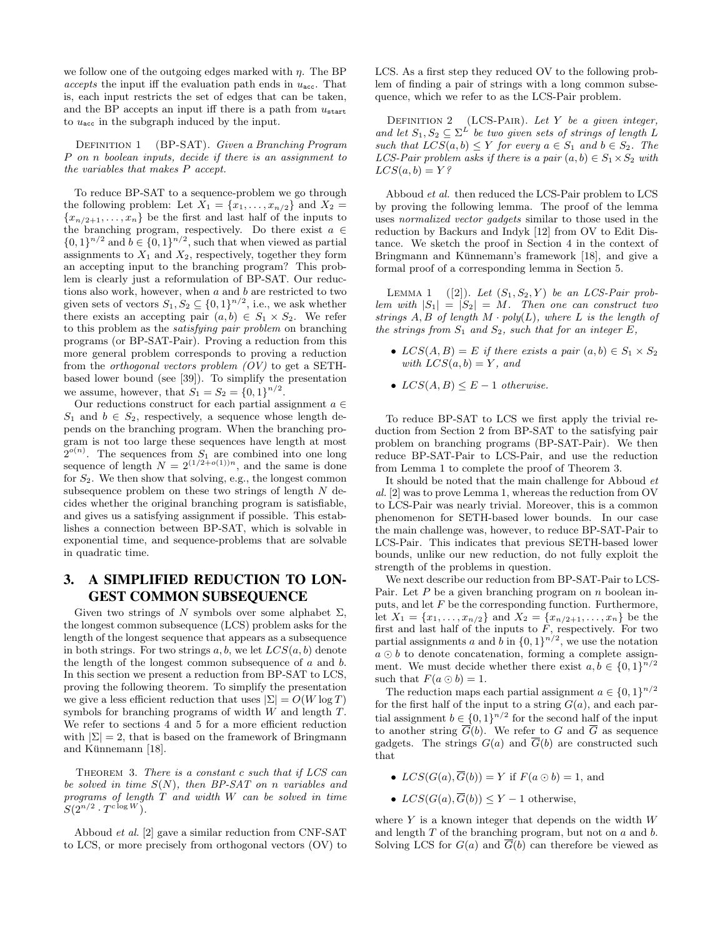we follow one of the outgoing edges marked with  $\eta$ . The BP accepts the input iff the evaluation path ends in  $u_{\text{acc}}$ . That is, each input restricts the set of edges that can be taken, and the BP accepts an input iff there is a path from  $u_{\text{start}}$ to  $u_{\text{acc}}$  in the subgraph induced by the input.

DEFINITION 1 (BP-SAT). Given a Branching Program P on n boolean inputs, decide if there is an assignment to the variables that makes P accept.

To reduce BP-SAT to a sequence-problem we go through the following problem: Let  $X_1 = \{x_1, \ldots, x_{n/2}\}\$ and  $X_2 =$  ${x_{n/2+1}, \ldots, x_n}$  be the first and last half of the inputs to the branching program, respectively. Do there exist  $a \in$  $\{0,1\}^{n/2}$  and  $b \in \{0,1\}^{n/2}$ , such that when viewed as partial assignments to  $X_1$  and  $X_2$ , respectively, together they form an accepting input to the branching program? This problem is clearly just a reformulation of BP-SAT. Our reductions also work, however, when  $a$  and  $b$  are restricted to two given sets of vectors  $S_1, S_2 \subseteq \{0,1\}^{n/2}$ , i.e., we ask whether there exists an accepting pair  $(a, b) \in S_1 \times S_2$ . We refer to this problem as the satisfying pair problem on branching programs (or BP-SAT-Pair). Proving a reduction from this more general problem corresponds to proving a reduction from the *orthogonal vectors problem*  $(OV)$  to get a SETHbased lower bound (see [39]). To simplify the presentation we assume, however, that  $S_1 = S_2 = \{0, 1\}^{n/2}$ .

Our reductions construct for each partial assignment  $a \in \mathbb{R}$  $S_1$  and  $b \in S_2$ , respectively, a sequence whose length depends on the branching program. When the branching program is not too large these sequences have length at most  $2^{o(n)}$ . The sequences from  $S_1$  are combined into one long sequence of length  $N = 2^{(1/2+o(1))n}$ , and the same is done for  $S_2$ . We then show that solving, e.g., the longest common subsequence problem on these two strings of length  $N$  decides whether the original branching program is satisfiable, and gives us a satisfying assignment if possible. This establishes a connection between BP-SAT, which is solvable in exponential time, and sequence-problems that are solvable in quadratic time.

# 3. A SIMPLIFIED REDUCTION TO LON-GEST COMMON SUBSEQUENCE

Given two strings of N symbols over some alphabet  $\Sigma$ , the longest common subsequence (LCS) problem asks for the length of the longest sequence that appears as a subsequence in both strings. For two strings  $a, b$ , we let  $LCS(a, b)$  denote the length of the longest common subsequence of  $a$  and  $b$ . In this section we present a reduction from BP-SAT to LCS, proving the following theorem. To simplify the presentation we give a less efficient reduction that uses  $|\Sigma| = O(W \log T)$ symbols for branching programs of width W and length T. We refer to sections 4 and 5 for a more efficient reduction with  $|\Sigma| = 2$ , that is based on the framework of Bringmann and Künnemann  $[18]$ .

THEOREM 3. There is a constant  $c$  such that if  $LCS$  can be solved in time  $S(N)$ , then BP-SAT on n variables and programs of length T and width W can be solved in time  $S(2^{n/2} \cdot T^{c \log W}).$ 

Abboud et al. [2] gave a similar reduction from CNF-SAT to LCS, or more precisely from orthogonal vectors (OV) to LCS. As a first step they reduced OV to the following problem of finding a pair of strings with a long common subsequence, which we refer to as the LCS-Pair problem.

DEFINITION 2 (LCS-PAIR). Let Y be a given integer, and let  $S_1, S_2 \subseteq \Sigma^L$  be two given sets of strings of length L such that  $LCS(a, b) \leq Y$  for every  $a \in S_1$  and  $b \in S_2$ . The LCS-Pair problem asks if there is a pair  $(a, b) \in S_1 \times S_2$  with  $LCS(a, b) = Y$ ?

Abboud et al. then reduced the LCS-Pair problem to LCS by proving the following lemma. The proof of the lemma uses normalized vector gadgets similar to those used in the reduction by Backurs and Indyk [12] from OV to Edit Distance. We sketch the proof in Section 4 in the context of Bringmann and Künnemann's framework [18], and give a formal proof of a corresponding lemma in Section 5.

LEMMA 1 ([2]). Let  $(S_1, S_2, Y)$  be an LCS-Pair problem with  $|S_1| = |S_2| = M$ . Then one can construct two strings  $A, B$  of length  $M \cdot poly(L)$ , where  $L$  is the length of the strings from  $S_1$  and  $S_2$ , such that for an integer  $E$ ,

- $LCS(A, B) = E$  if there exists a pair  $(a, b) \in S_1 \times S_2$ with  $LCS(a, b) = Y$ , and
- $LCS(A, B) \leq E-1$  otherwise.

To reduce BP-SAT to LCS we first apply the trivial reduction from Section 2 from BP-SAT to the satisfying pair problem on branching programs (BP-SAT-Pair). We then reduce BP-SAT-Pair to LCS-Pair, and use the reduction from Lemma 1 to complete the proof of Theorem 3.

It should be noted that the main challenge for Abboud  $et$ al. [2] was to prove Lemma 1, whereas the reduction from OV to LCS-Pair was nearly trivial. Moreover, this is a common phenomenon for SETH-based lower bounds. In our case the main challenge was, however, to reduce BP-SAT-Pair to LCS-Pair. This indicates that previous SETH-based lower bounds, unlike our new reduction, do not fully exploit the strength of the problems in question.

We next describe our reduction from BP-SAT-Pair to LCS-Pair. Let  $P$  be a given branching program on  $n$  boolean inputs, and let  $F$  be the corresponding function. Furthermore, let  $X_1 = \{x_1, \ldots, x_{n/2}\}\$ and  $X_2 = \{x_{n/2+1}, \ldots, x_n\}\$ be the first and last half of the inputs to  $F$ , respectively. For two partial assignments a and b in  $\{0,1\}^{n/2}$ , we use the notation  $a \odot b$  to denote concatenation, forming a complete assignment. We must decide whether there exist  $a, b \in \{0, 1\}^{n/2}$ such that  $F(a \odot b) = 1$ .

The reduction maps each partial assignment  $a \in \{0,1\}^{n/2}$ for the first half of the input to a string  $G(a)$ , and each partial assignment  $b \in \{0,1\}^{n/2}$  for the second half of the input to another string  $G(b)$ . We refer to G and G as sequence gadgets. The strings  $G(a)$  and  $\overline{G}(b)$  are constructed such that

- $LCS(G(a), \overline{G}(b)) = Y$  if  $F(a \odot b) = 1$ , and
- $LCS(G(a), \overline{G}(b)) \leq Y 1$  otherwise,

where  $Y$  is a known integer that depends on the width  $W$ and length  $T$  of the branching program, but not on  $a$  and  $b$ . Solving LCS for  $G(a)$  and  $\overline{G}(b)$  can therefore be viewed as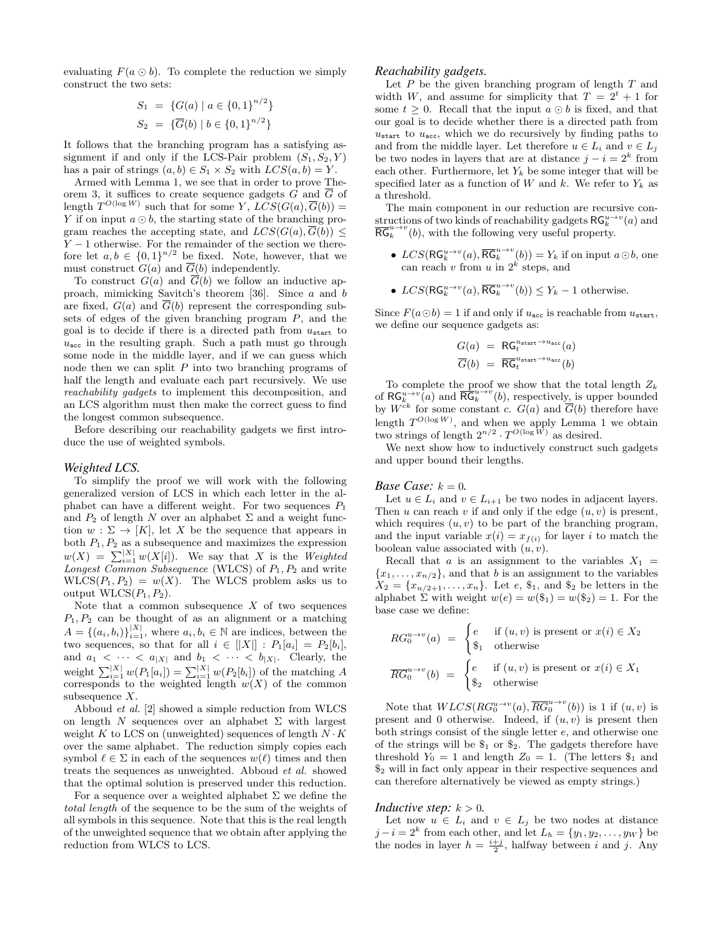evaluating  $F(a \odot b)$ . To complete the reduction we simply construct the two sets:

$$
S_1 = \{G(a) | a \in \{0, 1\}^{n/2}\}
$$
  

$$
S_2 = \{\overline{G}(b) | b \in \{0, 1\}^{n/2}\}
$$

It follows that the branching program has a satisfying assignment if and only if the LCS-Pair problem  $(S_1, S_2, Y)$ has a pair of strings  $(a, b) \in S_1 \times S_2$  with  $LCS(a, b) = Y$ .

Armed with Lemma 1, we see that in order to prove Theorem 3, it suffices to create sequence gadgets G and G of length  $T^{O(\log W)}$  such that for some Y,  $LCS(G(a), \overline{G}(b)) =$ Y if on input  $a \odot b$ , the starting state of the branching program reaches the accepting state, and  $LCS(G(a), \overline{G(b)}) \leq$  $Y - 1$  otherwise. For the remainder of the section we therefore let  $a, b \in \{0,1\}^{n/2}$  be fixed. Note, however, that we must construct  $G(a)$  and  $\overline{G}(b)$  independently.

To construct  $G(a)$  and  $\overline{G}(b)$  we follow an inductive approach, mimicking Savitch's theorem [36]. Since a and b are fixed,  $G(a)$  and  $\overline{G}(b)$  represent the corresponding subsets of edges of the given branching program  $P$ , and the goal is to decide if there is a directed path from  $u_{start}$  to  $u_{\text{acc}}$  in the resulting graph. Such a path must go through some node in the middle layer, and if we can guess which node then we can split  $P$  into two branching programs of half the length and evaluate each part recursively. We use reachability gadgets to implement this decomposition, and an LCS algorithm must then make the correct guess to find the longest common subsequence.

Before describing our reachability gadgets we first introduce the use of weighted symbols.

#### *Weighted LCS.*

To simplify the proof we will work with the following generalized version of LCS in which each letter in the alphabet can have a different weight. For two sequences  $P_1$ and  $P_2$  of length N over an alphabet  $\Sigma$  and a weight function  $w : \Sigma \to [K]$ , let X be the sequence that appears in both  $P_1, P_2$  as a subsequence and maximizes the expression  $w(X) = \sum_{i=1}^{|X|} w(X[i])$ . We say that X is the Weighted Longest Common Subsequence (WLCS) of  $P_1, P_2$  and write  $WLCS(P_1, P_2) = w(X)$ . The WLCS problem asks us to output  $WLCS(P_1, P_2)$ .

Note that a common subsequence  $X$  of two sequences  $P_1, P_2$  can be thought of as an alignment or a matching  $A = \{(a_i, b_i)\}_{i=1}^{|X|}$ , where  $a_i, b_i \in \mathbb{N}$  are indices, between the two sequences, so that for all  $i \in |X|$  :  $P_1[a_i] = P_2[b_i],$ and  $a_1 < \cdots < a_{|X|}$  and  $b_1 < \cdots < b_{|X|}$ . Clearly, the weight  $\sum_{i=1}^{|X|} w(P_1[a_i]) = \sum_{i=1}^{|X|} w(P_2[b_i])$  of the matching A corresponds to the weighted length  $w(X)$  of the common subsequence  $X$ .

Abboud et al. [2] showed a simple reduction from WLCS on length N sequences over an alphabet  $\Sigma$  with largest weight K to LCS on (unweighted) sequences of length  $N \cdot K$ over the same alphabet. The reduction simply copies each symbol  $\ell \in \Sigma$  in each of the sequences  $w(\ell)$  times and then treats the sequences as unweighted. Abboud et al. showed that the optimal solution is preserved under this reduction.

For a sequence over a weighted alphabet  $\Sigma$  we define the total length of the sequence to be the sum of the weights of all symbols in this sequence. Note that this is the real length of the unweighted sequence that we obtain after applying the reduction from WLCS to LCS.

#### *Reachability gadgets.*

Let  $P$  be the given branching program of length  $T$  and width W, and assume for simplicity that  $T = 2^t + 1$  for some  $t \geq 0$ . Recall that the input  $a \odot b$  is fixed, and that our goal is to decide whether there is a directed path from  $u_{\text{start}}$  to  $u_{\text{acc}}$ , which we do recursively by finding paths to and from the middle layer. Let therefore  $u \in L_i$  and  $v \in L_j$ be two nodes in layers that are at distance  $j - i = 2<sup>k</sup>$  from each other. Furthermore, let  $Y_k$  be some integer that will be specified later as a function of W and k. We refer to  $Y_k$  as a threshold.

The main component in our reduction are recursive constructions of two kinds of reachability gadgets  $\mathsf{RG}_{k}^{u\to v}(a)$  and  $\overline{\text{RG}}_k^{u \to v}(b)$ , with the following very useful property.

- $LCS(\mathsf{RG}_{k}^{u\to v}(a), \overline{\mathsf{RG}}_{k}^{u\to v}(b)) = Y_k$  if on input  $a \odot b$ , one can reach v from u in  $2^k$  steps, and
- $LCS(\mathsf{RG}_{k}^{u\to v}(a), \overline{\mathsf{RG}}_{k}^{u\to v}(b)) \leq Y_k 1$  otherwise.

Since  $F(a \odot b) = 1$  if and only if  $u_{\text{acc}}$  is reachable from  $u_{\text{start}}$ , we define our sequence gadgets as:

$$
G(a) = \text{RG}_{t}^{u_{\text{start}} \to u_{\text{acc}}}(a)
$$

$$
\overline{G}(b) = \overline{\text{RG}}_{t}^{u_{\text{start}} \to u_{\text{acc}}}(b)
$$

To complete the proof we show that the total length  $Z_k$ of  $\mathsf{RG}_{k}^{u\to v}(a)$  and  $\overline{\mathsf{RG}}_{k}^{u\to v}(b)$ , respectively, is upper bounded by  $W^{ck}$  for some constant c.  $G(a)$  and  $\overline{G}(b)$  therefore have length  $T^{O(\log W)}$ , and when we apply Lemma 1 we obtain two strings of length  $2^{n/2} \cdot T^{O(\log W)}$  as desired.

We next show how to inductively construct such gadgets and upper bound their lengths.

#### *Base Case:*  $k = 0$ *.*

Let  $u \in L_i$  and  $v \in L_{i+1}$  be two nodes in adjacent layers. Then u can reach v if and only if the edge  $(u, v)$  is present, which requires  $(u, v)$  to be part of the branching program, and the input variable  $x(i) = x_{f(i)}$  for layer i to match the boolean value associated with  $(u, v)$ .

Recall that a is an assignment to the variables  $X_1$  =  ${x_1, \ldots, x_{n/2}}$ , and that b is an assignment to the variables  $X_2 = \{x_{n/2+1}, \ldots, x_n\}$ . Let e, \$1, and \$2 be letters in the alphabet  $\Sigma$  with weight  $w(e) = w(\$_1) = w(\$_2) = 1$ . For the base case we define:

$$
RG_0^{u \to v}(a) = \begin{cases} e & \text{if } (u, v) \text{ is present or } x(i) \in X_2 \\ \$_1$ \quad otherwise \end{cases}
$$

$$
\overline{RG}_0^{u \to v}(b) = \begin{cases} e & \text{if } (u, v) \text{ is present or } x(i) \in X_1 \\ \$_2$ \quad otherwise \end{cases}
$$

Note that  $WLCS(RG_0^{u\rightarrow v}(a), \overline{RG}_0^{u\rightarrow v}(b))$  is 1 if  $(u, v)$  is present and 0 otherwise. Indeed, if  $(u, v)$  is present then both strings consist of the single letter e, and otherwise one of the strings will be  $\$_1$  or  $\$_2$ . The gadgets therefore have threshold  $Y_0 = 1$  and length  $Z_0 = 1$ . (The letters  $\$_1$  and  $\$_2$  will in fact only appear in their respective sequences and can therefore alternatively be viewed as empty strings.)

#### *Inductive step:*  $k > 0$ .

Let now  $u \in L_i$  and  $v \in L_j$  be two nodes at distance  $j - i = 2<sup>k</sup>$  from each other, and let  $L_h = \{y_1, y_2, \ldots, y_W\}$  be the nodes in layer  $h = \frac{i+j}{2}$ , halfway between i and j. Any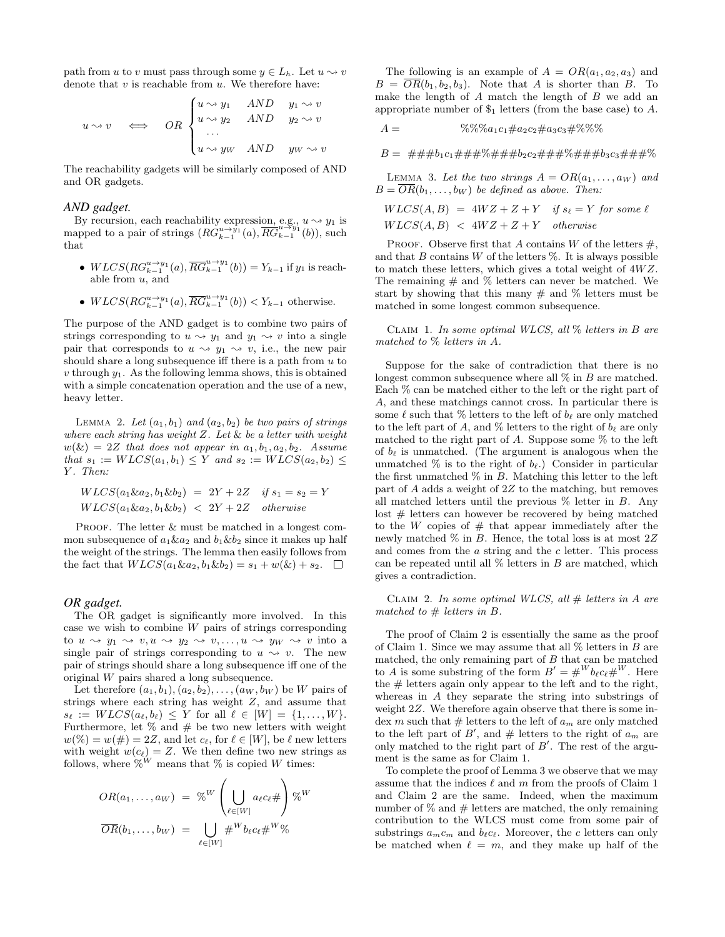path from u to v must pass through some  $y \in L_h$ . Let  $u \rightsquigarrow v$ denote that  $v$  is reachable from  $u$ . We therefore have:

$$
u \rightsquigarrow v \iff OR \begin{cases} u \rightsquigarrow y_1 & AND & y_1 \rightsquigarrow v \\ u \rightsquigarrow y_2 & AND & y_2 \rightsquigarrow v \\ \dots \\ u \rightsquigarrow y_W & AND & y_W \rightsquigarrow v \end{cases}
$$

The reachability gadgets will be similarly composed of AND and OR gadgets.

#### *AND gadget.*

By recursion, each reachability expression, e.g.,  $u \rightarrow y_1$  is mapped to a pair of strings  $(RG_{k-1}^{u \to y_1}(a), \overline{RG}_{k-1}^{u \to y_1}(b))$ , such that

- $WLCS(RG_{k-1}^{u \to y_1}(a), \overline{RG}_{k-1}^{u \to y_1}(b)) = Y_{k-1}$  if  $y_1$  is reachable from  $u$ , and
- $WLCS(RG_{k-1}^{u \to y_1}(a), \overline{RG}_{k-1}^{u \to y_1}(b)) < Y_{k-1}$  otherwise.

The purpose of the AND gadget is to combine two pairs of strings corresponding to  $u \rightsquigarrow y_1$  and  $y_1 \rightsquigarrow v$  into a single pair that corresponds to  $u \leadsto y_1 \leadsto v$ , i.e., the new pair should share a long subsequence iff there is a path from  $u$  to  $v$  through  $y_1$ . As the following lemma shows, this is obtained with a simple concatenation operation and the use of a new, heavy letter.

LEMMA 2. Let  $(a_1, b_1)$  and  $(a_2, b_2)$  be two pairs of strings where each string has weight  $Z$ . Let  $\&$  be a letter with weight  $w(\&) = 2Z$  that does not appear in  $a_1, b_1, a_2, b_2$ . Assume that  $s_1 := WLCS(a_1, b_1) \le Y$  and  $s_2 := WLCS(a_2, b_2) \le Y$ Y. Then:

$$
WLCS(a_1ka_2, b_1kb_2) = 2Y + 2Z \quad \text{if } s_1 = s_2 = Y
$$
  

$$
WLCS(a_1ka_2, b_1kb_2) < 2Y + 2Z \quad \text{otherwise}
$$

PROOF. The letter  $&$  must be matched in a longest common subsequence of  $a_1 \& a_2$  and  $b_1 \& b_2$  since it makes up half the weight of the strings. The lemma then easily follows from the fact that  $WLCS(a_1\&a_2, b_1\&b_2) = s_1 + w(\&) + s_2$ .  $\Box$ 

#### *OR gadget.*

The OR gadget is significantly more involved. In this case we wish to combine  $W$  pairs of strings corresponding to  $u \sim y_1 \sim v, u \sim y_2 \sim v, \ldots, u \sim y_W \sim v$  into a single pair of strings corresponding to  $u \sim v$ . The new pair of strings should share a long subsequence iff one of the original W pairs shared a long subsequence.

Let therefore  $(a_1, b_1), (a_2, b_2), \ldots, (a_W, b_W)$  be W pairs of strings where each string has weight Z, and assume that  $s_{\ell} := W LCS(a_{\ell}, b_{\ell}) \leq Y$  for all  $\ell \in [W] = \{1, ..., W\}.$ Furthermore, let  $\%$  and  $\#$  be two new letters with weight  $w(\%) = w(\#) = 2Z$ , and let  $c_{\ell}$ , for  $\ell \in [W]$ , be  $\ell$  new letters with weight  $w(c_{\ell}) = Z$ . We then define two new strings as follows, where  $\overset{\sim}{\%}{}^W$  means that  $\%$  is copied  $W$  times:

$$
OR(a_1,..., a_W) = %^W \left( \bigcup_{\ell \in [W]} a_{\ell} c_{\ell} \# \right) \%^W
$$

$$
\overline{OR}(b_1,..., b_W) = \bigcup_{\ell \in [W]} \#^W b_{\ell} c_{\ell} \#^W \%
$$

The following is an example of  $A = OR(a_1, a_2, a_3)$  and  $B = \overline{OR}(b_1, b_2, b_3)$ . Note that A is shorter than B. To make the length of A match the length of B we add an appropriate number of  $\mathcal{S}_1$  letters (from the base case) to A.

$$
A = \%\% \% a_1 c_1 \# a_2 c_2 \# a_3 c_3 \# \% \% \%
$$

 $B = #\# \# b_1 c_1 \# \# \# \% \# \# \# b_2 c_2 \# \# \# \% \# \# \# b_3 c_3 \# \# \# \%$ 

LEMMA 3. Let the two strings  $A = OR(a_1, \ldots, a_W)$  and  $B = OR(b_1, \ldots, b_W)$  be defined as above. Then:

$$
WLCS(A, B) = 4WZ + Z + Y
$$
 if  $s_{\ell} = Y$  for some  $\ell$   

$$
WLCS(A, B) < 4WZ + Z + Y
$$
 otherwise

PROOF. Observe first that A contains W of the letters  $\#$ . and that B contains W of the letters  $\%$ . It is always possible to match these letters, which gives a total weight of  $4WZ$ . The remaining  $\#$  and  $\%$  letters can never be matched. We start by showing that this many  $\#$  and  $\%$  letters must be matched in some longest common subsequence.

CLAIM 1. In some optimal WLCS, all  $\%$  letters in B are matched to % letters in A.

Suppose for the sake of contradiction that there is no longest common subsequence where all  $\%$  in  $B$  are matched. Each % can be matched either to the left or the right part of A, and these matchings cannot cross. In particular there is some  $\ell$  such that  $\%$  letters to the left of  $b_{\ell}$  are only matched to the left part of A, and  $\%$  letters to the right of  $b_{\ell}$  are only matched to the right part of  $A$ . Suppose some  $\%$  to the left of  $b_{\ell}$  is unmatched. (The argument is analogous when the unmatched  $\%$  is to the right of  $b_\ell$ .) Consider in particular the first unmatched  $\%$  in B. Matching this letter to the left part of A adds a weight of 2Z to the matching, but removes all matched letters until the previous  $\%$  letter in B. Any lost  $#$  letters can however be recovered by being matched to the W copies of  $#$  that appear immediately after the newly matched  $\%$  in B. Hence, the total loss is at most  $2Z$ and comes from the a string and the c letter. This process can be repeated until all  $%$  letters in  $B$  are matched, which gives a contradiction.

CLAIM 2. In some optimal WLCS, all  $#$  letters in A are matched to  $#$  letters in  $B$ .

The proof of Claim 2 is essentially the same as the proof of Claim 1. Since we may assume that all % letters in B are matched, the only remaining part of  $B$  that can be matched to A is some substring of the form  $B' = #^W b_{\ell} c_{\ell} \#^W$ . Here the # letters again only appear to the left and to the right, whereas in A they separate the string into substrings of weight 2Z. We therefore again observe that there is some index m such that  $#$  letters to the left of  $a_m$  are only matched to the left part of  $B'$ , and  $#$  letters to the right of  $a_m$  are only matched to the right part of  $B'$ . The rest of the argument is the same as for Claim 1.

To complete the proof of Lemma 3 we observe that we may assume that the indices  $\ell$  and m from the proofs of Claim 1 and Claim 2 are the same. Indeed, when the maximum number of  $\%$  and  $\#$  letters are matched, the only remaining contribution to the WLCS must come from some pair of substrings  $a_m c_m$  and  $b_\ell c_\ell$ . Moreover, the c letters can only be matched when  $\ell = m$ , and they make up half of the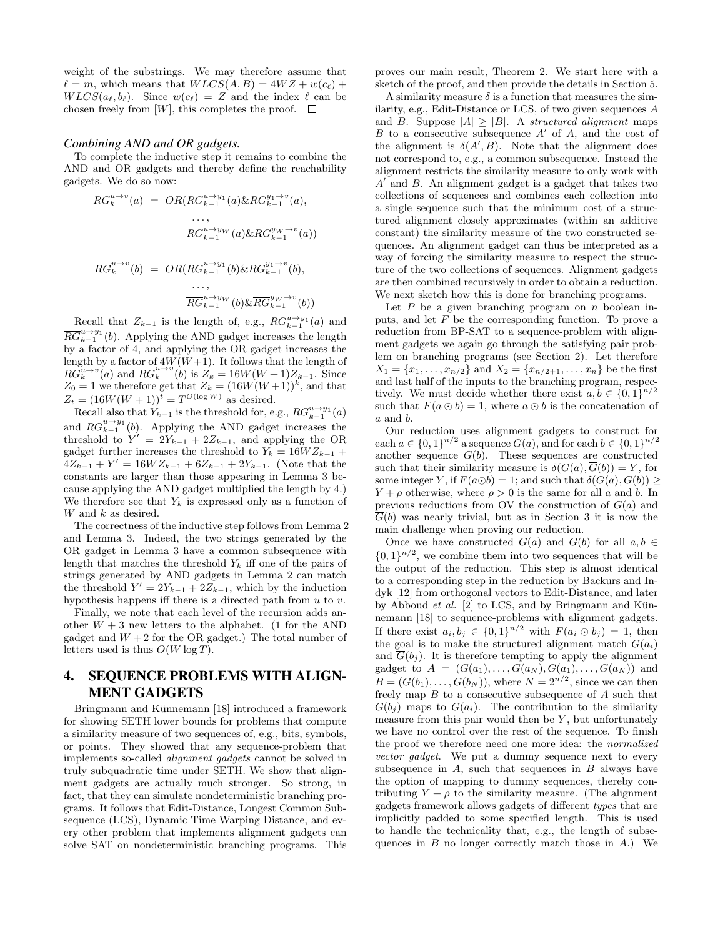weight of the substrings. We may therefore assume that  $\ell = m$ , which means that  $W LCS(A, B) = 4WZ + w(c_{\ell}) +$  $WLCS(a_\ell, b_\ell)$ . Since  $w(c_\ell) = Z$  and the index  $\ell$  can be chosen freely from [W], this completes the proof.  $\square$ 

#### *Combining AND and OR gadgets.*

To complete the inductive step it remains to combine the AND and OR gadgets and thereby define the reachability gadgets. We do so now:

$$
RG_k^{u \to v}(a) = OR(RG_{k-1}^{u \to y_1}(a) \& RG_{k-1}^{y_1 \to v}(a),
$$
  
\n...,  
\n
$$
RG_{k-1}^{u \to y_W}(a) \& RG_{k-1}^{y_W \to v}(a))
$$
  
\n
$$
\overline{RG}_k^{u \to v}(b) = \overline{OR}(\overline{RG}_{k-1}^{u \to y_1}(b) \& \overline{RG}_{k-1}^{y_1 \to v}(b),
$$
  
\n...,  
\n
$$
\overline{RG}_{k-1}^{u \to y_W}(b) \& \overline{RG}_{k-1}^{y_W \to v}(b))
$$

Recall that  $Z_{k-1}$  is the length of, e.g.,  $RG_{k-1}^{u \to y_1}(a)$  and  $\overline{RG}_{k-1}^{u \to y_1}(b)$ . Applying the AND gadget increases the length by a factor of 4, and applying the OR gadget increases the length by a factor of  $4W(W+1)$ . It follows that the length of  $RG_k^{u \to v}(a)$  and  $\overline{RG}_k^{u \to v}(b)$  is  $Z_k = 16W(W+1)Z_{k-1}$ . Since  $Z_0 = 1$  we therefore get that  $Z_k = (16W(W+1))^k$ , and that  $Z_t = (16W(W + 1))^{t} = T^{O(\log W)}$  as desired.

Recall also that  $Y_{k-1}$  is the threshold for, e.g.,  $RG_{k-1}^{u \to y_1}(a)$ and  $\overline{RG}_{k-1}^{u \to y_1}(b)$ . Applying the AND gadget increases the threshold to  $Y' = 2Y_{k-1} + 2Z_{k-1}$ , and applying the OR gadget further increases the threshold to  $Y_k = 16WZ_{k-1}$  +  $4Z_{k-1} + Y' = 16WZ_{k-1} + 6Z_{k-1} + 2Y_{k-1}$ . (Note that the constants are larger than those appearing in Lemma 3 because applying the AND gadget multiplied the length by 4.) We therefore see that  $Y_k$  is expressed only as a function of  $W$  and  $k$  as desired.

The correctness of the inductive step follows from Lemma 2 and Lemma 3. Indeed, the two strings generated by the OR gadget in Lemma 3 have a common subsequence with length that matches the threshold  $Y_k$  iff one of the pairs of strings generated by AND gadgets in Lemma 2 can match the threshold  $Y' = 2Y_{k-1} + 2Z_{k-1}$ , which by the induction hypothesis happens iff there is a directed path from  $u$  to  $v$ .

Finally, we note that each level of the recursion adds another  $W + 3$  new letters to the alphabet. (1 for the AND gadget and  $W + 2$  for the OR gadget.) The total number of letters used is thus  $O(W \log T)$ .

# 4. SEQUENCE PROBLEMS WITH ALIGN-MENT GADGETS

Bringmann and Künnemann [18] introduced a framework for showing SETH lower bounds for problems that compute a similarity measure of two sequences of, e.g., bits, symbols, or points. They showed that any sequence-problem that implements so-called alignment gadgets cannot be solved in truly subquadratic time under SETH. We show that alignment gadgets are actually much stronger. So strong, in fact, that they can simulate nondeterministic branching programs. It follows that Edit-Distance, Longest Common Subsequence (LCS), Dynamic Time Warping Distance, and every other problem that implements alignment gadgets can solve SAT on nondeterministic branching programs. This proves our main result, Theorem 2. We start here with a sketch of the proof, and then provide the details in Section 5.

A similarity measure  $\delta$  is a function that measures the similarity, e.g., Edit-Distance or LCS, of two given sequences A and B. Suppose  $|A| > |B|$ . A *structured alignment* maps  $B$  to a consecutive subsequence  $A'$  of  $A$ , and the cost of the alignment is  $\delta(A',B)$ . Note that the alignment does not correspond to, e.g., a common subsequence. Instead the alignment restricts the similarity measure to only work with  $A'$  and  $B$ . An alignment gadget is a gadget that takes two collections of sequences and combines each collection into a single sequence such that the minimum cost of a structured alignment closely approximates (within an additive constant) the similarity measure of the two constructed sequences. An alignment gadget can thus be interpreted as a way of forcing the similarity measure to respect the structure of the two collections of sequences. Alignment gadgets are then combined recursively in order to obtain a reduction. We next sketch how this is done for branching programs.

Let  $P$  be a given branching program on  $n$  boolean inputs, and let  $F$  be the corresponding function. To prove a reduction from BP-SAT to a sequence-problem with alignment gadgets we again go through the satisfying pair problem on branching programs (see Section 2). Let therefore  $X_1 = \{x_1, \ldots, x_{n/2}\}\$ and  $X_2 = \{x_{n/2+1}, \ldots, x_n\}$  be the first and last half of the inputs to the branching program, respectively. We must decide whether there exist  $a, b \in \{0, 1\}^{n/2}$ such that  $F(a \odot b) = 1$ , where  $a \odot b$  is the concatenation of a and b.

Our reduction uses alignment gadgets to construct for each  $a \in \{0,1\}^{n/2}$  a sequence  $G(a)$ , and for each  $b \in \{0,1\}^{n/2}$ another sequence  $\overline{G}(b)$ . These sequences are constructed such that their similarity measure is  $\delta(G(a), \overline{G}(b)) = Y$ , for some integer Y, if  $F(a \odot b) = 1$ ; and such that  $\delta(G(a), \overline{G}(b)) \geq$  $Y + \rho$  otherwise, where  $\rho > 0$  is the same for all a and b. In previous reductions from OV the construction of  $G(a)$  and  $\overline{\overline{G}}(b)$  was nearly trivial, but as in Section 3 it is now the main challenge when proving our reduction.

Once we have constructed  $G(a)$  and  $\overline{G}(b)$  for all  $a, b \in$  $\{0,1\}^{n/2}$ , we combine them into two sequences that will be the output of the reduction. This step is almost identical to a corresponding step in the reduction by Backurs and Indyk [12] from orthogonal vectors to Edit-Distance, and later by Abboud et al.  $[2]$  to LCS, and by Bringmann and Künnemann [18] to sequence-problems with alignment gadgets. If there exist  $a_i, b_j \in \{0,1\}^{n/2}$  with  $F(a_i \odot b_j) = 1$ , then the goal is to make the structured alignment match  $G(a_i)$ and  $\overline{G}(b_i)$ . It is therefore tempting to apply the alignment gadget to  $A = (G(a_1), \ldots, G(a_N), G(a_1), \ldots, G(a_N))$  and  $B = (\overline{G}(b_1), \ldots, \overline{G}(b_N))$ , where  $N = 2^{n/2}$ , since we can then freely map  $B$  to a consecutive subsequence of  $A$  such that  $G(b_j)$  maps to  $G(a_i)$ . The contribution to the similarity measure from this pair would then be  $Y$ , but unfortunately we have no control over the rest of the sequence. To finish the proof we therefore need one more idea: the normalized vector gadget. We put a dummy sequence next to every subsequence in  $A$ , such that sequences in  $B$  always have the option of mapping to dummy sequences, thereby contributing  $Y + \rho$  to the similarity measure. (The alignment gadgets framework allows gadgets of different types that are implicitly padded to some specified length. This is used to handle the technicality that, e.g., the length of subsequences in  $B$  no longer correctly match those in  $A$ .) We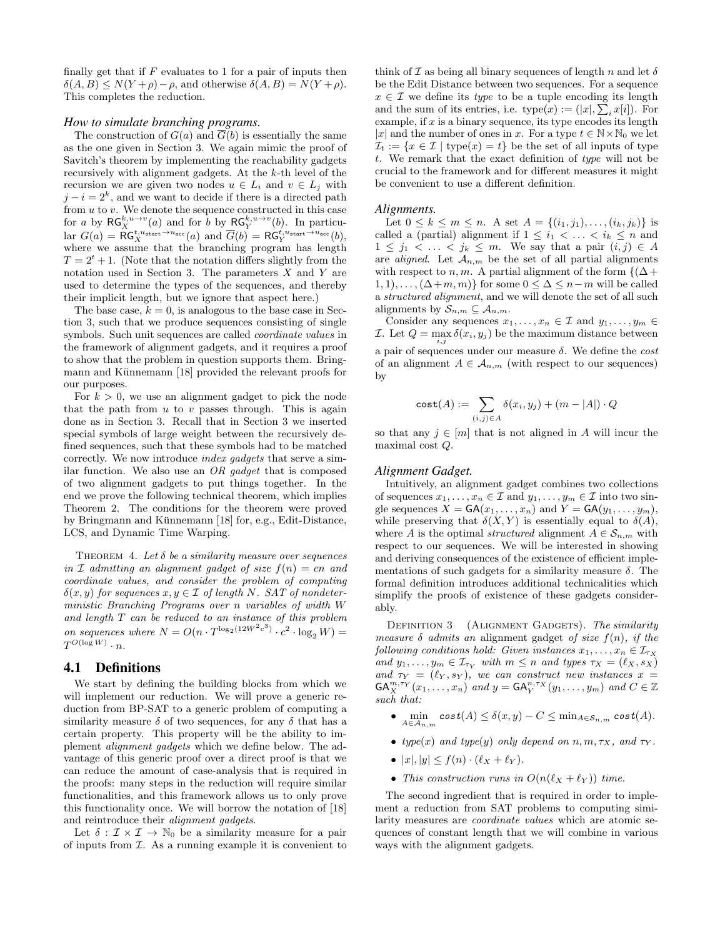finally get that if  $F$  evaluates to 1 for a pair of inputs then  $\delta(A, B) \leq N(Y + \rho) - \rho$ , and otherwise  $\delta(A, B) = N(Y + \rho)$ . This completes the reduction.

#### *How to simulate branching programs.*

The construction of  $G(a)$  and  $\overline{G}(b)$  is essentially the same as the one given in Section 3. We again mimic the proof of Savitch's theorem by implementing the reachability gadgets recursively with alignment gadgets. At the k-th level of the recursion we are given two nodes  $u \in L_i$  and  $v \in L_j$  with  $j - i = 2<sup>k</sup>$ , and we want to decide if there is a directed path from  $u$  to  $v$ . We denote the sequence constructed in this case for a by  $\mathsf{RG}_X^{k,u \to v}(a)$  and for b by  $\mathsf{RG}_Y^{k,u \to v}(b)$ . In particular  $G(a) = \mathsf{RG}_X^{t, u_{\text{start}} \to u_{\text{acc}}}(a)$  and  $\overline{G}(b) = \mathsf{RG}_Y^{t, u_{\text{start}} \to u_{\text{acc}}}(b)$ , where we assume that the branching program has length  $T = 2<sup>t</sup> + 1$ . (Note that the notation differs slightly from the notation used in Section 3. The parameters  $X$  and  $Y$  are used to determine the types of the sequences, and thereby their implicit length, but we ignore that aspect here.)

The base case,  $k = 0$ , is analogous to the base case in Section 3, such that we produce sequences consisting of single symbols. Such unit sequences are called *coordinate values* in the framework of alignment gadgets, and it requires a proof to show that the problem in question supports them. Bringmann and Künnemann [18] provided the relevant proofs for our purposes.

For  $k > 0$ , we use an alignment gadget to pick the node that the path from  $u$  to  $v$  passes through. This is again done as in Section 3. Recall that in Section 3 we inserted special symbols of large weight between the recursively defined sequences, such that these symbols had to be matched correctly. We now introduce index gadgets that serve a similar function. We also use an  $OR$  gadget that is composed of two alignment gadgets to put things together. In the end we prove the following technical theorem, which implies Theorem 2. The conditions for the theorem were proved by Bringmann and Künnemann  $[18]$  for, e.g., Edit-Distance, LCS, and Dynamic Time Warping.

THEOREM 4. Let  $\delta$  be a similarity measure over sequences in  $\mathcal I$  admitting an alignment gadget of size  $f(n) = cn$  and coordinate values, and consider the problem of computing  $\delta(x, y)$  for sequences  $x, y \in \mathcal{I}$  of length N. SAT of nondeterministic Branching Programs over n variables of width W and length T can be reduced to an instance of this problem on sequences where  $N = O(n \cdot T^{\log_2(12W^2c^3)} \cdot c^2 \cdot \log_2 W) =$  $T^{O(\log W)}\cdot n.$ 

#### 4.1 Definitions

We start by defining the building blocks from which we will implement our reduction. We will prove a generic reduction from BP-SAT to a generic problem of computing a similarity measure  $\delta$  of two sequences, for any  $\delta$  that has a certain property. This property will be the ability to implement alignment gadgets which we define below. The advantage of this generic proof over a direct proof is that we can reduce the amount of case-analysis that is required in the proofs: many steps in the reduction will require similar functionalities, and this framework allows us to only prove this functionality once. We will borrow the notation of [18] and reintroduce their alignment gadgets.

Let  $\delta : \mathcal{I} \times \mathcal{I} \to \mathbb{N}_0$  be a similarity measure for a pair of inputs from  $I$ . As a running example it is convenient to think of  $\mathcal I$  as being all binary sequences of length n and let  $\delta$ be the Edit Distance between two sequences. For a sequence  $x \in \mathcal{I}$  we define its *type* to be a tuple encoding its length and the sum of its entries, i.e.  $type(x) := (|x|, \sum_i x[i]).$  For example, if  $x$  is a binary sequence, its type encodes its length |x| and the number of ones in x. For a type  $t \in \mathbb{N} \times \mathbb{N}_0$  we let  $\mathcal{I}_t := \{x \in \mathcal{I} \mid \text{type}(x) = t\}$  be the set of all inputs of type t. We remark that the exact definition of type will not be crucial to the framework and for different measures it might be convenient to use a different definition.

#### *Alignments.*

Let  $0 \leq k \leq m \leq n$ . A set  $A = \{(i_1, j_1), \ldots, (i_k, j_k)\}$  is called a (partial) alignment if  $1 \leq i_1 < \ldots < i_k \leq n$  and  $1 \leq j_1 \leq \ldots \leq j_k \leq m$ . We say that a pair  $(i, j) \in A$ are *aligned*. Let  $A_{n,m}$  be the set of all partial alignments with respect to n, m. A partial alignment of the form  ${(\Delta)}$  $1, 1), \ldots, (\Delta+m, m)$  for some  $0 \leq \Delta \leq n-m$  will be called a structured alignment, and we will denote the set of all such alignments by  $S_{n,m} \subseteq A_{n,m}$ .

Consider any sequences  $x_1, \ldots, x_n \in \mathcal{I}$  and  $y_1, \ldots, y_m \in$ *I*. Let  $Q = \max_{i,j} \delta(x_i, y_j)$  be the maximum distance between a pair of sequences under our measure  $\delta$ . We define the cost of an alignment  $A \in \mathcal{A}_{n,m}$  (with respect to our sequences) by

$$
\textnormal{\textsf{cost}}(A) := \sum_{(i,j) \in A} \delta(x_i,y_j) + (m-|A|) \cdot Q
$$

so that any  $j \in [m]$  that is not aligned in A will incur the maximal cost Q.

# *Alignment Gadget.*

Intuitively, an alignment gadget combines two collections of sequences  $x_1, \ldots, x_n \in \mathcal{I}$  and  $y_1, \ldots, y_m \in \mathcal{I}$  into two single sequences  $X = \mathsf{GA}(x_1, \ldots, x_n)$  and  $Y = \mathsf{GA}(y_1, \ldots, y_m)$ , while preserving that  $\delta(X, Y)$  is essentially equal to  $\delta(A)$ , where A is the optimal *structured* alignment  $A \in S_{n,m}$  with respect to our sequences. We will be interested in showing and deriving consequences of the existence of efficient implementations of such gadgets for a similarity measure  $\delta$ . The formal definition introduces additional technicalities which simplify the proofs of existence of these gadgets considerably.

DEFINITION 3 (ALIGNMENT GADGETS). The similarity measure  $\delta$  admits an alignment gadget of size  $f(n)$ , if the following conditions hold: Given instances  $x_1, \ldots, x_n \in \mathcal{I}_{\tau_X}$ and  $y_1, \ldots, y_m \in \mathcal{I}_{\tau_Y}$  with  $m \leq n$  and types  $\tau_X = (\ell_X, s_X)$ and  $\tau_Y = (\ell_Y, s_Y)$ , we can construct new instances  $x =$  $\mathsf{GA}_X^{m,\tau_Y}(x_1,\ldots,x_n)$  and  $y = \mathsf{GA}_Y^{n,\tau_X}(y_1,\ldots,y_m)$  and  $C \in \mathbb{Z}$ such that:

- $\bullet \ \min_{A \in \mathcal{A}_{n,m}} \mathsf{cost}(A) \leq \delta(x,y) C \leq \min_{A \in \mathcal{S}_{n,m}} \mathsf{cost}(A).$
- type(x) and type(y) only depend on  $n, m, \tau_X$ , and  $\tau_Y$ .
- $|x|, |y| \le f(n) \cdot (\ell_X + \ell_Y)$ .
- This construction runs in  $O(n(\ell_X + \ell_Y))$  time.

The second ingredient that is required in order to implement a reduction from SAT problems to computing similarity measures are coordinate values which are atomic sequences of constant length that we will combine in various ways with the alignment gadgets.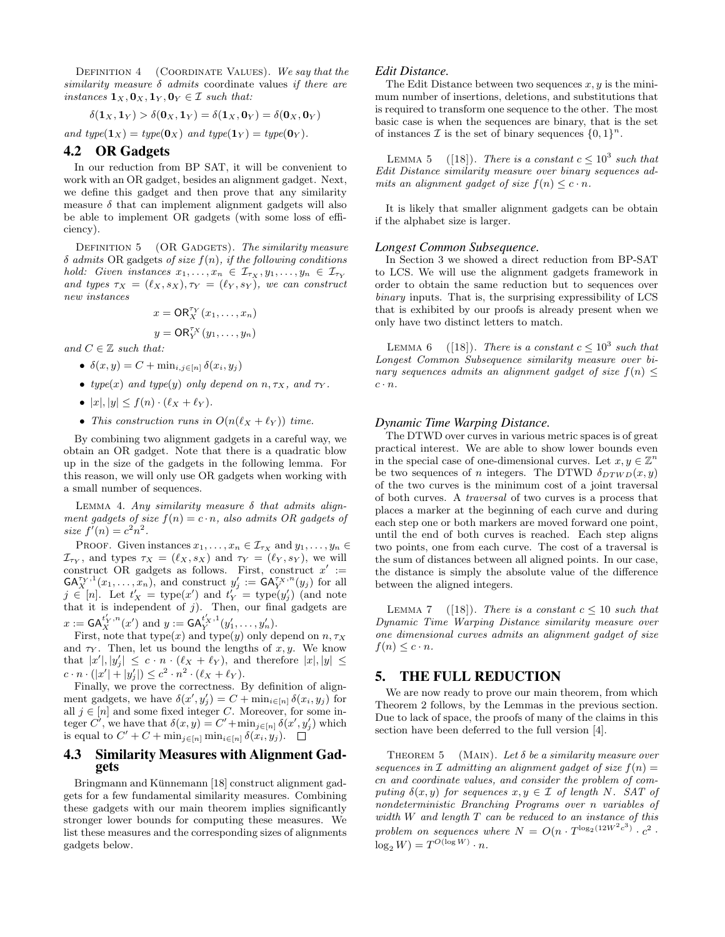DEFINITION  $4$  (COORDINATE VALUES). We say that the similarity measure  $\delta$  admits coordinate values if there are instances  $\mathbf{1}_X, \mathbf{0}_X, \mathbf{1}_Y, \mathbf{0}_Y \in \mathcal{I}$  such that:

$$
\delta(\mathbf{1}_X,\mathbf{1}_Y) > \delta(\mathbf{0}_X,\mathbf{1}_Y) = \delta(\mathbf{1}_X,\mathbf{0}_Y) = \delta(\mathbf{0}_X,\mathbf{0}_Y)
$$

and type( $\mathbf{1}_X$ ) = type( $\mathbf{0}_X$ ) and type( $\mathbf{1}_Y$ ) = type( $\mathbf{0}_Y$ ).

# 4.2 OR Gadgets

In our reduction from BP SAT, it will be convenient to work with an OR gadget, besides an alignment gadget. Next, we define this gadget and then prove that any similarity measure  $\delta$  that can implement alignment gadgets will also be able to implement OR gadgets (with some loss of efficiency).

DEFINITION  $5$  (OR GADGETS). The similarity measure  $\delta$  admits OR gadgets of size  $f(n)$ , if the following conditions hold: Given instances  $x_1, \ldots, x_n \in \mathcal{I}_{\tau_X}, y_1, \ldots, y_n \in \mathcal{I}_{\tau_Y}$ and types  $\tau_X = (\ell_X, s_X), \tau_Y = (\ell_Y, s_Y),$  we can construct new instances

$$
x = \mathsf{OR}_{X}^{\tau_{Y}}(x_{1}, \ldots, x_{n})
$$

$$
y = \mathsf{OR}_{Y}^{\tau_{X}}(y_{1}, \ldots, y_{n})
$$

and  $C \in \mathbb{Z}$  such that:

- $\delta(x, y) = C + \min_{i, j \in [n]} \delta(x_i, y_j)$
- type(x) and type(y) only depend on  $n, \tau_X$ , and  $\tau_Y$ .
- $|x|, |y| \leq f(n) \cdot (\ell_X + \ell_Y).$
- This construction runs in  $O(n(\ell_X + \ell_Y))$  time.

By combining two alignment gadgets in a careful way, we obtain an OR gadget. Note that there is a quadratic blow up in the size of the gadgets in the following lemma. For this reason, we will only use OR gadgets when working with a small number of sequences.

LEMMA 4. Any similarity measure  $\delta$  that admits alignment gadgets of size  $f(n) = c \cdot n$ , also admits OR gadgets of size  $f'(n) = c^2 n^2$ .

PROOF. Given instances  $x_1, \ldots, x_n \in \mathcal{I}_{\tau_X}$  and  $y_1, \ldots, y_n \in$  $\mathcal{I}_{\tau_Y}$ , and types  $\tau_X = (\ell_X, s_X)$  and  $\tau_Y = (\ell_Y, s_Y)$ , we will construct OR gadgets as follows. First, construct  $x' :=$  $\mathsf{GA}_X^{\tau_Y,1}(x_1,\ldots,x_n)$ , and construct  $y'_j := \mathsf{GA}_Y^{\tau_X,n}(y_j)$  for all  $j \in [n]$ . Let  $t'_X = \text{type}(x')$  and  $t'_Y = \text{type}(y'_j)$  (and note that it is independent of  $j$ ). Then, our final gadgets are  $x := \mathsf{GA}_X^{t'_X, n}(x')$  and  $y := \mathsf{GA}_Y^{t'_X, 1}(y'_1, \ldots, y'_n)$ .

First, note that type $(x)$  and type $(y)$  only depend on  $n, \tau_X$ and  $\tau_Y$ . Then, let us bound the lengths of x, y. We know that  $|x'|, |y'_j| \leq c \cdot n \cdot (\ell_X + \ell_Y)$ , and therefore  $|x|, |y| \leq$  $c \cdot n \cdot (|x'| + |y'_j|) \leq c^2 \cdot n^2 \cdot (\ell_X + \ell_Y).$ 

Finally, we prove the correctness. By definition of alignment gadgets, we have  $\delta(x', y'_j) = C + \min_{i \in [n]} \delta(x_i, y_j)$  for all  $j \in [n]$  and some fixed integer C. Moreover, for some integer  $C'$ , we have that  $\delta(x, y) = C' + \min_{j \in [n]} \delta(x', y'_j)$  which is equal to  $C' + C + \min_{j \in [n]} \min_{i \in [n]} \delta(x_i, y_j)$ .

# 4.3 Similarity Measures with Alignment Gadgets

Bringmann and Künnemann [18] construct alignment gadgets for a few fundamental similarity measures. Combining these gadgets with our main theorem implies significantly stronger lower bounds for computing these measures. We list these measures and the corresponding sizes of alignments gadgets below.

## *Edit Distance.*

The Edit Distance between two sequences  $x, y$  is the minimum number of insertions, deletions, and substitutions that is required to transform one sequence to the other. The most basic case is when the sequences are binary, that is the set of instances  $\mathcal I$  is the set of binary sequences  $\{0,1\}^n$ .

LEMMA 5 ([18]). There is a constant  $c \leq 10^3$  such that Edit Distance similarity measure over binary sequences admits an alignment gadget of size  $f(n) \leq c \cdot n$ .

It is likely that smaller alignment gadgets can be obtain if the alphabet size is larger.

#### *Longest Common Subsequence.*

In Section 3 we showed a direct reduction from BP-SAT to LCS. We will use the alignment gadgets framework in order to obtain the same reduction but to sequences over binary inputs. That is, the surprising expressibility of LCS that is exhibited by our proofs is already present when we only have two distinct letters to match.

LEMMA 6 ([18]). There is a constant  $c \leq 10^3$  such that Longest Common Subsequence similarity measure over binary sequences admits an alignment gadget of size  $f(n)$  <  $c \cdot n$ .

#### *Dynamic Time Warping Distance.*

The DTWD over curves in various metric spaces is of great practical interest. We are able to show lower bounds even in the special case of one-dimensional curves. Let  $x, y \in \mathbb{Z}^n$ be two sequences of n integers. The DTWD  $\delta_{DTWD}(x, y)$ of the two curves is the minimum cost of a joint traversal of both curves. A traversal of two curves is a process that places a marker at the beginning of each curve and during each step one or both markers are moved forward one point, until the end of both curves is reached. Each step aligns two points, one from each curve. The cost of a traversal is the sum of distances between all aligned points. In our case, the distance is simply the absolute value of the difference between the aligned integers.

LEMMA 7 ([18]). There is a constant  $c \leq 10$  such that Dynamic Time Warping Distance similarity measure over one dimensional curves admits an alignment gadget of size  $f(n) \leq c \cdot n$ .

# 5. THE FULL REDUCTION

We are now ready to prove our main theorem, from which Theorem 2 follows, by the Lemmas in the previous section. Due to lack of space, the proofs of many of the claims in this section have been deferred to the full version [4].

THEOREM 5 (MAIN). Let  $\delta$  be a similarity measure over sequences in  $\mathcal I$  admitting an alignment gadget of size  $f(n) =$ cn and coordinate values, and consider the problem of computing  $\delta(x, y)$  for sequences  $x, y \in \mathcal{I}$  of length N. SAT of nondeterministic Branching Programs over n variables of width W and length T can be reduced to an instance of this problem on sequences where  $N = O(n \cdot T^{\log_2(12W^2c^3)} \cdot c^2$ .  $\log_2 W$ ) =  $T^{O(\log W)} \cdot n$ .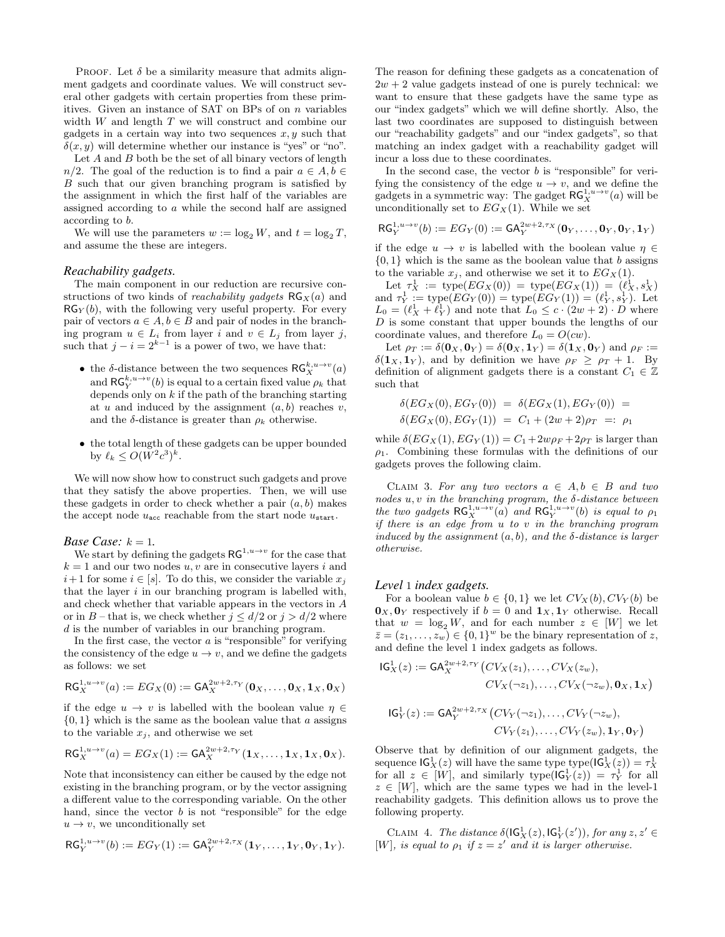PROOF. Let  $\delta$  be a similarity measure that admits alignment gadgets and coordinate values. We will construct several other gadgets with certain properties from these primitives. Given an instance of SAT on BPs of on n variables width  $W$  and length  $T$  we will construct and combine our gadgets in a certain way into two sequences  $x, y$  such that  $\delta(x, y)$  will determine whether our instance is "yes" or "no".

Let  $A$  and  $B$  both be the set of all binary vectors of length  $n/2$ . The goal of the reduction is to find a pair  $a \in A, b \in \mathbb{R}$ B such that our given branching program is satisfied by the assignment in which the first half of the variables are assigned according to a while the second half are assigned according to b.

We will use the parameters  $w := \log_2 W$ , and  $t = \log_2 T$ , and assume the these are integers.

#### *Reachability gadgets.*

The main component in our reduction are recursive constructions of two kinds of *reachability gadgets*  $RG_X(a)$  and  $RG_Y(b)$ , with the following very useful property. For every pair of vectors  $a \in A, b \in B$  and pair of nodes in the branching program  $u \in L_i$  from layer i and  $v \in L_j$  from layer j, such that  $j - i = 2^{k-1}$  is a power of two, we have that:

- $\bullet\,$  the  $\delta\text{-distance}$  between the two sequences  $\mathsf{RG}^{k,u\to v}_{X}(a)$ and  $\mathsf{RG}_{Y}^{k,u \to v}(b)$  is equal to a certain fixed value  $\rho_k$  that depends only on  $k$  if the path of the branching starting at u and induced by the assignment  $(a, b)$  reaches v, and the  $\delta$ -distance is greater than  $\rho_k$  otherwise.
- the total length of these gadgets can be upper bounded by  $\ell_k \leq O(W^2c^3)^k$ .

We will now show how to construct such gadgets and prove that they satisfy the above properties. Then, we will use these gadgets in order to check whether a pair  $(a, b)$  makes the accept node  $u_{\text{acc}}$  reachable from the start node  $u_{\text{start}}$ .

#### *Base Case:*  $k = 1$ .

We start by defining the gadgets  $\mathsf{RG}^{1,u\to v}$  for the case that  $k = 1$  and our two nodes  $u, v$  are in consecutive layers i and  $i+1$  for some  $i \in [s]$ . To do this, we consider the variable  $x_j$ that the layer  $i$  in our branching program is labelled with, and check whether that variable appears in the vectors in A or in B – that is, we check whether  $j \leq d/2$  or  $j > d/2$  where d is the number of variables in our branching program.

In the first case, the vector  $a$  is "responsible" for verifying the consistency of the edge  $u \to v$ , and we define the gadgets as follows: we set

$$
\mathsf{RG}_X^{1,u\to v}(a) := EG_X(0) := \mathsf{GA}_X^{2w+2,\tau_Y}(\mathbf{0}_X,\ldots,\mathbf{0}_X,\mathbf{1}_X,\mathbf{0}_X)
$$

if the edge  $u \to v$  is labelled with the boolean value  $\eta \in$  $\{0,1\}$  which is the same as the boolean value that a assigns to the variable  $x_j$ , and otherwise we set

$$
RG_X^{1,u \to v}(a) = EG_X(1) := GA_X^{2w+2,\tau_Y}(1_X,\ldots,1_X,1_X,0_X).
$$

Note that inconsistency can either be caused by the edge not existing in the branching program, or by the vector assigning a different value to the corresponding variable. On the other hand, since the vector  $b$  is not "responsible" for the edge  $u \rightarrow v$ , we unconditionally set

$$
\mathsf{RG}_Y^{1,u \to v}(b) := EG_Y(1) := \mathsf{GA}_Y^{2w+2,\tau_X}(\mathbf{1}_Y,\ldots,\mathbf{1}_Y,\mathbf{0}_Y,\mathbf{1}_Y).
$$

The reason for defining these gadgets as a concatenation of  $2w + 2$  value gadgets instead of one is purely technical: we want to ensure that these gadgets have the same type as our "index gadgets" which we will define shortly. Also, the last two coordinates are supposed to distinguish between our "reachability gadgets" and our "index gadgets", so that matching an index gadget with a reachability gadget will incur a loss due to these coordinates.

In the second case, the vector  $b$  is "responsible" for verifying the consistency of the edge  $u \to v$ , and we define the gadgets in a symmetric way: The gadget  $\mathsf{RG}^{1,u\to v}_{X}(a)$  will be unconditionally set to  $EG_X(1)$ . While we set

$$
\mathsf{RG}_Y^{1,u \to v}(b) := EG_Y(0) := \mathsf{GA}_Y^{2w+2,\tau_X}(\mathbf{0}_Y,\ldots,\mathbf{0}_Y,\mathbf{0}_Y,\mathbf{1}_Y)
$$

if the edge  $u \to v$  is labelled with the boolean value  $\eta \in$  $\{0,1\}$  which is the same as the boolean value that b assigns to the variable  $x_j$ , and otherwise we set it to  $EG_X(1)$ .

Let  $\tau_X^1 := \text{type}(EG_X(0)) = \text{type}(EG_X(1)) = (\ell_X^1, s_X^1)$ and  $\tau_Y^1 := \text{type}(EG_Y(0)) = \text{type}(EG_Y(1)) = (\ell_Y^1, s_Y^1)$ . Let  $L_0 = (\ell_X^1 + \ell_Y^1)$  and note that  $L_0 \leq c \cdot (2w + 2) \cdot D$  where  $D$  is some constant that upper bounds the lengths of our coordinate values, and therefore  $L_0 = O(cw)$ .

Let  $\rho_T := \delta(\mathbf{0}_X, \mathbf{0}_Y) = \delta(\mathbf{0}_X, \mathbf{1}_Y) = \delta(\mathbf{1}_X, \mathbf{0}_Y)$  and  $\rho_F :=$  $\delta(\mathbf{1}_X, \mathbf{1}_Y)$ , and by definition we have  $\rho_F \ge \rho_T + 1$ . By definition of alignment gadgets there is a constant  $C_1 \in \mathbb{Z}$ such that

$$
\delta(EG_X(0), EG_Y(0)) = \delta(EG_X(1), EG_Y(0)) = \n\delta(EG_X(0), EG_Y(1)) = C_1 + (2w + 2)\rho_T =: \rho_1
$$

while  $\delta(EG_X(1), EG_Y(1)) = C_1 + 2w\rho_F + 2\rho_T$  is larger than  $\rho_1$ . Combining these formulas with the definitions of our gadgets proves the following claim.

CLAIM 3. For any two vectors  $a \in A, b \in B$  and two nodes  $u, v$  in the branching program, the  $\delta$ -distance between the two gadgets  $\mathsf{RG}_X^{1,u\to v}(a)$  and  $\mathsf{RG}_Y^{1,u\to v}(b)$  is equal to  $\rho_1$ if there is an edge from  $u$  to  $v$  in the branching program induced by the assignment  $(a, b)$ , and the  $\delta$ -distance is larger otherwise.

#### *Level* 1 *index gadgets.*

For a boolean value  $b \in \{0,1\}$  we let  $CV_X(b), CV_Y(b)$  be  $\mathbf{0}_X, \mathbf{0}_Y$  respectively if  $b = 0$  and  $\mathbf{1}_X, \mathbf{1}_Y$  otherwise. Recall that  $w = \log_2 W$ , and for each number  $z \in [W]$  we let  $\overline{z} = (z_1, \ldots, z_w) \in \{0, 1\}^w$  be the binary representation of z, and define the level 1 index gadgets as follows.

$$
IG_X^1(z) := GA_X^{2w+2, \tau_Y} (CV_X(z_1), ..., CV_X(z_w),
$$
  
\n
$$
CV_X(\neg z_1), ..., CV_X(\neg z_w), \mathbf{0}_X, \mathbf{1}_X)
$$
  
\n
$$
IG_Y^1(z) := GA_Y^{2w+2, \tau_X} (CV_Y(\neg z_1), ..., CV_Y(\neg z_w),
$$
  
\n
$$
CV_Y(z_1), ..., CV_Y(z_w), \mathbf{1}_Y, \mathbf{0}_Y)
$$

Observe that by definition of our alignment gadgets, the sequence  $\mathsf{IG}^1_X(z)$  will have the same type type $(\mathsf{IG}^1_X(z)) = \tau^1_X$ for all  $z \in [W]$ , and similarly type $(\mathsf{IG}^1_Y(z)) = \tau_Y^{1'}$  for all  $z \in [W]$ , which are the same types we had in the level-1 reachability gadgets. This definition allows us to prove the following property.

CLAIM 4. The distance  $\delta(\mathsf{IG}^1_X(z), \mathsf{IG}^1_Y(z'))$ , for any  $z, z' \in$ [W], is equal to  $\rho_1$  if  $z=z'$  and it is larger otherwise.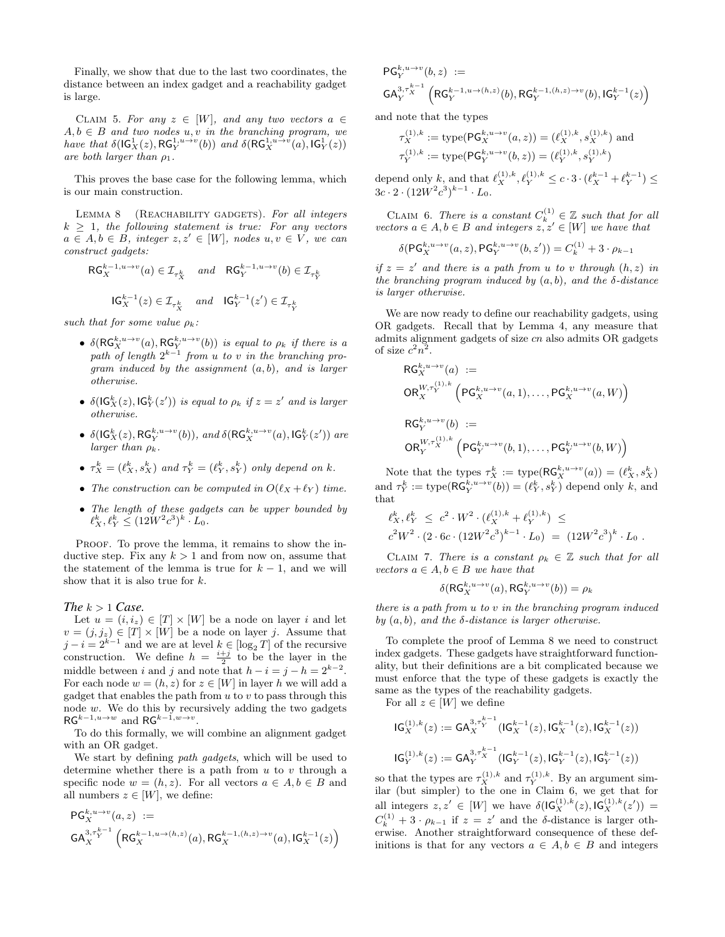Finally, we show that due to the last two coordinates, the distance between an index gadget and a reachability gadget is large.

CLAIM 5. For any  $z \in [W]$ , and any two vectors  $a \in$  $A, b \in B$  and two nodes  $u, v$  in the branching program, we have that  $\delta(\mathsf{IG}^1_X(z), \mathsf{RG}^{1,u \to v}_Y(b))$  and  $\delta(\mathsf{RG}^{1,u \to v}_X(a), \mathsf{IG}^1_Y(z))$ are both larger than  $\rho_1$ .

This proves the base case for the following lemma, which is our main construction.

LEMMA 8 (REACHABILITY GADGETS). For all integers  $k \geq 1$ , the following statement is true: For any vectors  $a \in A, b \in B$ , integer  $z, z' \in [W]$ , nodes  $u, v \in V$ , we can construct gadgets:

$$
\begin{aligned} \mathsf{RG}_{X}^{k-1, u \to v}(a) \in \mathcal{I}_{\tau_{X}^{k}} \quad \text{and} \quad \mathsf{RG}_{Y}^{k-1, u \to v}(b) \in \mathcal{I}_{\tau_{Y}^{k}} \\ \mathsf{IG}_{X}^{k-1}(z) \in \mathcal{I}_{\tau_{X}^{k}} \quad \text{and} \quad \mathsf{IG}_{Y}^{k-1}(z') \in \mathcal{I}_{\tau_{Y}^{k}} \end{aligned}
$$

such that for some value  $\rho_k$ :

- $\delta(\mathsf{RG}_X^{k,u \to v}(a), \mathsf{RG}_Y^{k,u \to v}(b))$  is equal to  $\rho_k$  if there is a path of length  $2^{k-1}$  from u to v in the branching pro*gram induced by the assignment*  $(a, b)$ , and is larger otherwise.
- $\delta(\mathsf{IG}^k_X(z), \mathsf{IG}^k_Y(z'))$  is equal to  $\rho_k$  if  $z = z'$  and is larger otherwise.
- $\delta(\mathsf{IG}^k_X(z), \mathsf{RG}^{k,u \to v}_Y(b)),$  and  $\delta(\mathsf{RG}^{k,u \to v}_X(a), \mathsf{IG}^k_Y(z'))$  are larger than  $\rho_k$ .
- $\tau_X^k = (\ell_X^k, s_X^k)$  and  $\tau_Y^k = (\ell_Y^k, s_Y^k)$  only depend on k.
- The construction can be computed in  $O(\ell_X + \ell_Y)$  time.
- The length of these gadgets can be upper bounded by  $\ell_X^k, \ell_Y^k \leq (12W^2c^3)^k \cdot L_0.$

PROOF. To prove the lemma, it remains to show the inductive step. Fix any  $k > 1$  and from now on, assume that the statement of the lemma is true for  $k - 1$ , and we will show that it is also true for  $k$ .

#### *The*  $k > 1$  *Case.*

Let  $u = (i, i_z) \in [T] \times [W]$  be a node on layer i and let  $v = (j, j_z) \in [T] \times [W]$  be a node on layer j. Assume that  $j - i = 2^{k-1}$  and we are at level  $k \in [\log_2 T]$  of the recursive construction. We define  $h = \frac{i+j}{2}$  to be the layer in the middle between i and j and note that  $h - i = j - h = 2^{k-2}$ . For each node  $w = (h, z)$  for  $z \in [W]$  in layer h we will add a gadget that enables the path from  $u$  to  $v$  to pass through this node  $w$ . We do this by recursively adding the two gadgets  $\mathsf{RG}^{k-1, u \to w}$  and  $\mathsf{RG}^{k-1, w \to v}$ .

To do this formally, we will combine an alignment gadget with an OR gadget.

We start by defining *path gadgets*, which will be used to determine whether there is a path from  $u$  to  $v$  through a specific node  $w = (h, z)$ . For all vectors  $a \in A, b \in B$  and all numbers  $z \in [W]$ , we define:

$$
PG_X^{k, u \to v}(a, z) :=
$$
  
\n $GA_X^{3, r_Y^{k-1}} (RG_X^{k-1, u \to (h, z)}(a), RG_X^{k-1, (h, z) \to v}(a), IG_X^{k-1}(z))$ 

$$
\begin{array}{ll} {\rm PG}_{Y}^{k,u \rightarrow v}(b,z) \; := \\ \mathrm{GA}_{Y}^{3,\tau_{X}^{k-1}}\left(\mathrm{RG}_{Y}^{k-1,u \rightarrow (h,z)}(b), \mathrm{RG}_{Y}^{k-1,(h,z) \rightarrow v}(b), \mathrm{IG}_{Y}^{k-1}(z)\right) \end{array}
$$

and note that the types

$$
\tau_X^{(1),k} := \text{type}(\mathsf{PG}_X^{k,u \to v}(a, z)) = (\ell_X^{(1),k}, s_X^{(1),k}) \text{ and}
$$

$$
\tau_Y^{(1),k} := \text{type}(\mathsf{PG}_Y^{k,u \to v}(b, z)) = (\ell_Y^{(1),k}, s_Y^{(1),k})
$$

depend only k, and that  $\ell_X^{(1),k}, \ell_Y^{(1),k} \le c \cdot 3 \cdot (\ell_X^{k-1} + \ell_Y^{k-1}) \le$  $3c \cdot 2 \cdot (12W^2c^3)^{k-1} \cdot L_0.$ 

CLAIM 6. There is a constant  $C_k^{(1)} \in \mathbb{Z}$  such that for all vectors  $a \in A, b \in B$  and integers  $z, z' \in [W]$  we have that

$$
\delta(\mathsf{PG}_X^{k,u \to v}(a,z), \mathsf{PG}_Y^{k,u \to v}(b,z')) = C_k^{(1)} + 3 \cdot \rho_{k-1}
$$

if  $z = z'$  and there is a path from u to v through  $(h, z)$  in the branching program induced by  $(a, b)$ , and the  $\delta$ -distance is larger otherwise.

We are now ready to define our reachability gadgets, using OR gadgets. Recall that by Lemma 4, any measure that admits alignment gadgets of size cn also admits OR gadgets of size  $c^2n^2$ .

$$
\begin{aligned} \mathsf{RG}^{k,u \rightarrow v}_{X}(a) &:= \\ \mathsf{OR}^{W,\tau_Y^{(1),k}}_{X} \left( \mathsf{PG}^{k,u \rightarrow v}_{X}(a,1), \ldots, \mathsf{PG}^{k,u \rightarrow v}_{X}(a,W) \right) \\ \mathsf{RG}^{k,u \rightarrow v}_{Y}(b) &:= \\ \mathsf{OR}^{W,\tau_X^{(1),k}}_{Y} \left( \mathsf{PG}^{k,u \rightarrow v}_{Y}(b,1), \ldots, \mathsf{PG}^{k,u \rightarrow v}_{Y}(b,W) \right) \end{aligned}
$$

Note that the types  $\tau_X^k := \text{type}(\textsf{RG}_X^{k,u \to v}(a)) = (\ell_X^k, s_X^k)$ and  $\tau_Y^k := \text{type}(\textsf{RG}_Y^{k,u \to v}(b)) = (\ell_Y^k, s_Y^k)$  depend only k, and that

$$
\begin{aligned} \ell_X^k, \ell_Y^k &\leq c^2 \cdot W^2 \cdot (\ell_X^{(1),k} + \ell_Y^{(1),k}) \leq \\ c^2 W^2 \cdot (2 \cdot 6c \cdot (12W^2 c^3)^{k-1} \cdot L_0) &= (12W^2 c^3)^k \cdot L_0 \; . \end{aligned}
$$

CLAIM 7. There is a constant  $\rho_k \in \mathbb{Z}$  such that for all vectors  $a \in A, b \in B$  we have that

$$
\delta(\mathrm{RG}^{k,u\to v}_X(a),\mathrm{RG}^{k,u\to v}_Y(b))=\rho_k
$$

there is a path from u to v in the branching program induced by  $(a, b)$ , and the  $\delta$ -distance is larger otherwise.

To complete the proof of Lemma 8 we need to construct index gadgets. These gadgets have straightforward functionality, but their definitions are a bit complicated because we must enforce that the type of these gadgets is exactly the same as the types of the reachability gadgets.

For all  $z \in [W]$  we define

$$
IG_X^{(1),k}(z) := GA_X^{3,\tau_Y^{k-1}}(IG_X^{k-1}(z),IG_X^{k-1}(z),IG_X^{k-1}(z))
$$
  

$$
IG_Y^{(1),k}(z) := GA_Y^{3,\tau_X^{k-1}}(IG_Y^{k-1}(z),IG_Y^{k-1}(z),IG_Y^{k-1}(z))
$$

so that the types are  $\tau_X^{(1),k}$  and  $\tau_Y^{(1),k}$ . By an argument similar (but simpler) to the one in Claim 6, we get that for all integers  $z, z' \in [W]$  we have  $\delta(\mathsf{IG}_X^{(1),k}(z), \mathsf{IG}_X^{(1),k}(z')) =$  $C_k^{(1)} + 3 \cdot \rho_{k-1}$  if  $z = z'$  and the  $\delta$ -distance is larger otherwise. Another straightforward consequence of these definitions is that for any vectors  $a \in A, b \in B$  and integers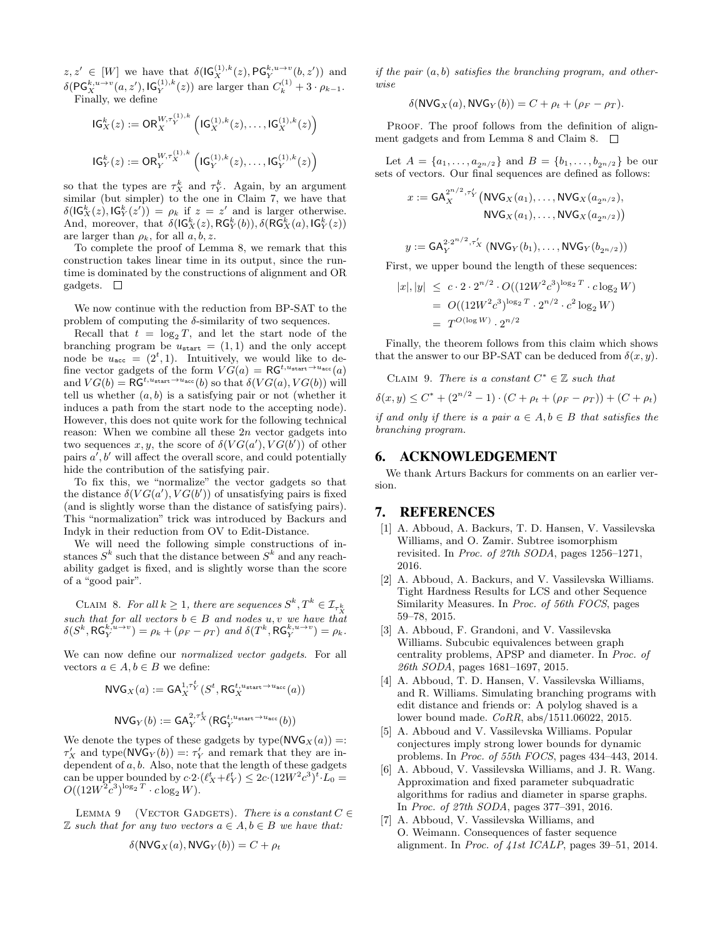$z, z' \in [W]$  we have that  $\delta(\mathsf{IG}_X^{(1),k}(z), \mathsf{PG}_Y^{k,u \to v}(b, z'))$  and  $\delta(\mathsf{PG}_X^{k,u \to v}(a,z'), \mathsf{IG}_Y^{(1),k}(z))$  are larger than  $C_k^{(1)} + 3 \cdot \rho_{k-1}$ . Finally, we define

$$
\begin{aligned} \mathsf{IG}^k_X(z) &:= \mathsf{OR}_X^{W,\tau_Y^{(1),k}}\left(\mathsf{IG}_X^{(1),k}(z),\ldots,\mathsf{IG}_X^{(1),k}(z)\right) \\ \mathsf{IG}^k_Y(z) &:= \mathsf{OR}_Y^{W,\tau_X^{(1),k}}\left(\mathsf{IG}_Y^{(1),k}(z),\ldots,\mathsf{IG}_Y^{(1),k}(z)\right) \end{aligned}
$$

so that the types are  $\tau_X^k$  and  $\tau_Y^k$ . Again, by an argument similar (but simpler) to the one in Claim 7, we have that  $\delta(\mathsf{IG}^k_X(z), \mathsf{IG}^k_Y(z')) = \rho_k$  if  $z = z'$  and is larger otherwise. And, moreover, that  $\delta(\mathsf{IG}^k_X(z), \mathsf{RG}^k_Y(b)), \delta(\mathsf{RG}^k_X(a), \mathsf{IG}^k_Y(z))$ are larger than  $\rho_k$ , for all  $a, b, z$ .

To complete the proof of Lemma 8, we remark that this construction takes linear time in its output, since the runtime is dominated by the constructions of alignment and OR gadgets.  $\square$ 

We now continue with the reduction from BP-SAT to the problem of computing the  $\delta$ -similarity of two sequences.

Recall that  $t = \log_2 T$ , and let the start node of the branching program be  $u_{\text{start}} = (1, 1)$  and the only accept node be  $u_{\text{acc}} = (2^t, 1)$ . Intuitively, we would like to define vector gadgets of the form  $VG(a) = \text{RG}^{t, u_{start} \rightarrow u_{acc}}(a)$ and  $VG(b) = \overline{\mathsf{RG}}^{t, u_{\text{start}} \to u_{\text{acc}}}(b)$  so that  $\delta(VG(a), VG(b))$  will tell us whether  $(a, b)$  is a satisfying pair or not (whether it induces a path from the start node to the accepting node). However, this does not quite work for the following technical reason: When we combine all these  $2n$  vector gadgets into two sequences x, y, the score of  $\delta(VG(a'),VG(b'))$  of other pairs  $a^{\prime}, b^{\prime}$  will affect the overall score, and could potentially hide the contribution of the satisfying pair.

To fix this, we "normalize" the vector gadgets so that the distance  $\delta(VG(a'), VG(b'))$  of unsatisfying pairs is fixed (and is slightly worse than the distance of satisfying pairs). This "normalization" trick was introduced by Backurs and Indyk in their reduction from OV to Edit-Distance.

We will need the following simple constructions of instances  $S^k$  such that the distance between  $S^k$  and any reachability gadget is fixed, and is slightly worse than the score of a "good pair".

CLAIM 8. For all  $k \geq 1$ , there are sequences  $S^k, T^k \in \mathcal{I}_{\tau_{\infty}^k}$ such that for all vectors  $b \in B$  and nodes u, v we have that  $\delta(S^k, \text{RG}_Y^{k, u \to v}) = \rho_k + (\rho_F - \rho_T) \text{ and } \delta(T^k, \text{RG}_Y^{k, u \to v}) = \rho_k.$ 

We can now define our *normalized vector gadgets*. For all vectors  $a \in A, b \in B$  we define:

$$
\begin{aligned} \mathsf{NVG}_X(a) &:= \mathsf{GA}_X^{1,\tau_Y^t}(S^t, \mathsf{RG}_X^{t,u_{\text{start}} \to u_{\text{acc}}}(a)) \\ \mathsf{NVG}_Y(b) &:= \mathsf{GA}_Y^{2,\tau_X^t}(\mathsf{RG}_Y^{t,u_{\text{start}} \to u_{\text{acc}}}(b)) \end{aligned}
$$

$$
(\mathbf{N}\mathbf{V}\mathbf{G}\mathbf{Y})(0) := \mathbf{G}\mathbf{A}\mathbf{Y} \qquad (\mathbf{N}\mathbf{G}\mathbf{Y}) \tag{0}
$$

We denote the types of these gadgets by type( $NVG_X(a)$ ) =:  $\tau'_X$  and type(NVG<sub>Y</sub>(b)) =  $\tau'_Y$  and remark that they are independent of  $a, b$ . Also, note that the length of these gadgets can be upper bounded by  $c \cdot 2 \cdot (\ell_X^t + \ell_Y^t) \leq 2c \cdot (12W^2c^3)^t \cdot L_0 =$  $O((12W^2c^3)^{\log_2 T} \cdot c \log_2 W).$ 

LEMMA 9 (VECTOR GADGETS). There is a constant  $C \in$  $\mathbb Z$  such that for any two vectors  $a \in A, b \in B$  we have that:

$$
\delta(\text{NVG}_X(a), \text{NVG}_Y(b)) = C + \rho_t
$$

if the pair  $(a, b)$  satisfies the branching program, and otherwise

$$
\delta(\text{NVG}_X(a), \text{NVG}_Y(b)) = C + \rho_t + (\rho_F - \rho_T).
$$

PROOF. The proof follows from the definition of alignment gadgets and from Lemma 8 and Claim 8.  $\square$ 

Let  $A = \{a_1, \ldots, a_{2n/2}\}\$ and  $B = \{b_1, \ldots, b_{2n/2}\}\$ be our sets of vectors. Our final sequences are defined as follows:

$$
x := \mathsf{GA}_X^{2^{n/2}, \tau'_Y} \big( \mathsf{NVG}_X(a_1), \dots, \mathsf{NVG}_X(a_{2^{n/2}}), \\ \mathsf{NVG}_X(a_1), \dots, \mathsf{NVG}_X(a_{2^{n/2}}) \big)
$$

$$
y := \mathsf{GA}_Y^{2 \cdot 2^{n/2}, \tau_X'} \left( \mathsf{NVG}_Y(b_1), \dots, \mathsf{NVG}_Y(b_{2^{n/2}}) \right)
$$

First, we upper bound the length of these sequences:

$$
|x|, |y| \le c \cdot 2 \cdot 2^{n/2} \cdot O((12W^2c^3)^{\log_2 T} \cdot c \log_2 W)
$$
  
=  $O((12W^2c^3)^{\log_2 T} \cdot 2^{n/2} \cdot c^2 \log_2 W)$   
=  $T^{O(\log W)} \cdot 2^{n/2}$ 

Finally, the theorem follows from this claim which shows that the answer to our BP-SAT can be deduced from  $\delta(x, y)$ .

\n CLAIM 9. There is a constant 
$$
C^* \in \mathbb{Z}
$$
 such that\n 
$$
\delta(x, y) \leq C^* + (2^{n/2} - 1) \cdot (C + \rho_t + (\rho_F - \rho_T)) + (C + \rho_t)
$$
\n if and only if there is a pair  $a \in A, b \in B$  that satisfies the branching program.\n

### 6. ACKNOWLEDGEMENT

We thank Arturs Backurs for comments on an earlier version.

# 7. REFERENCES

- [1] A. Abboud, A. Backurs, T. D. Hansen, V. Vassilevska Williams, and O. Zamir. Subtree isomorphism revisited. In Proc. of 27th SODA, pages 1256–1271, 2016.
- [2] A. Abboud, A. Backurs, and V. Vassilevska Williams. Tight Hardness Results for LCS and other Sequence Similarity Measures. In Proc. of 56th FOCS, pages 59–78, 2015.
- [3] A. Abboud, F. Grandoni, and V. Vassilevska Williams. Subcubic equivalences between graph centrality problems, APSP and diameter. In Proc. of 26th SODA, pages 1681–1697, 2015.
- [4] A. Abboud, T. D. Hansen, V. Vassilevska Williams, and R. Williams. Simulating branching programs with edit distance and friends or: A polylog shaved is a lower bound made. CoRR, abs/1511.06022, 2015.
- [5] A. Abboud and V. Vassilevska Williams. Popular conjectures imply strong lower bounds for dynamic problems. In Proc. of 55th FOCS, pages 434–443, 2014.
- [6] A. Abboud, V. Vassilevska Williams, and J. R. Wang. Approximation and fixed parameter subquadratic algorithms for radius and diameter in sparse graphs. In Proc. of 27th SODA, pages 377–391, 2016.
- [7] A. Abboud, V. Vassilevska Williams, and O. Weimann. Consequences of faster sequence alignment. In Proc. of 41st ICALP, pages 39–51, 2014.